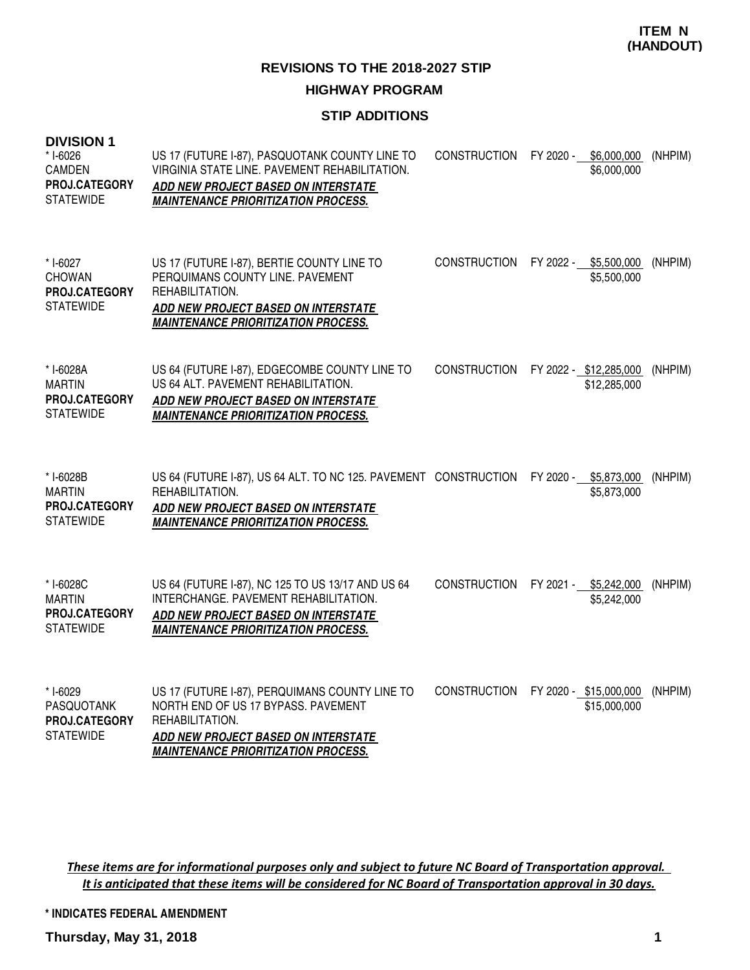# **STIP ADDITIONS**

| <b>DIVISION 1</b><br>* I-6026<br>CAMDEN<br>PROJ.CATEGORY<br><b>STATEWIDE</b> | US 17 (FUTURE I-87), PASQUOTANK COUNTY LINE TO<br>VIRGINIA STATE LINE. PAVEMENT REHABILITATION.<br><b>ADD NEW PROJECT BASED ON INTERSTATE</b><br><b>MAINTENANCE PRIORITIZATION PROCESS.</b>   | <b>CONSTRUCTION</b> | FY 2020 -<br>\$6,000,000<br>\$6,000,000 | (NHPIM) |
|------------------------------------------------------------------------------|-----------------------------------------------------------------------------------------------------------------------------------------------------------------------------------------------|---------------------|-----------------------------------------|---------|
| * I-6027<br><b>CHOWAN</b><br><b>PROJ.CATEGORY</b><br><b>STATEWIDE</b>        | US 17 (FUTURE I-87), BERTIE COUNTY LINE TO<br>PERQUIMANS COUNTY LINE, PAVEMENT<br>REHABILITATION.<br><b>ADD NEW PROJECT BASED ON INTERSTATE</b><br><b>MAINTENANCE PRIORITIZATION PROCESS.</b> | <b>CONSTRUCTION</b> | FY 2022 - \$5,500,000<br>\$5,500,000    | (NHPIM) |
| * I-6028A<br><b>MARTIN</b><br><b>PROJ.CATEGORY</b><br><b>STATEWIDE</b>       | US 64 (FUTURE I-87), EDGECOMBE COUNTY LINE TO<br>US 64 ALT. PAVEMENT REHABILITATION.<br>ADD NEW PROJECT BASED ON INTERSTATE<br><b>MAINTENANCE PRIORITIZATION PROCESS.</b>                     | <b>CONSTRUCTION</b> | FY 2022 - \$12,285,000<br>\$12,285,000  | (NHPIM) |
| * I-6028B<br><b>MARTIN</b><br>PROJ.CATEGORY<br><b>STATEWIDE</b>              | US 64 (FUTURE 1-87), US 64 ALT. TO NC 125. PAVEMENT CONSTRUCTION<br>REHABILITATION.<br>ADD NEW PROJECT BASED ON INTERSTATE<br><b>MAINTENANCE PRIORITIZATION PROCESS.</b>                      |                     | FY 2020 -<br>\$5,873,000<br>\$5,873,000 | (NHPIM) |
| * I-6028C<br><b>MARTIN</b><br><b>PROJ.CATEGORY</b><br><b>STATEWIDE</b>       | US 64 (FUTURE I-87), NC 125 TO US 13/17 AND US 64<br>INTERCHANGE. PAVEMENT REHABILITATION.<br><u>ADD NEW PROJECT BASED ON INTERSTATE</u><br><b>MAINTENANCE PRIORITIZATION PROCESS.</b>        | <b>CONSTRUCTION</b> | FY 2021 - \$5,242,000<br>\$5,242,000    | (NHPIM) |
| * I-6029<br><b>PASQUOTANK</b><br>PROJ.CATEGORY<br><b>STATEWIDE</b>           | US 17 (FUTURE I-87), PERQUIMANS COUNTY LINE TO<br>NORTH END OF US 17 BYPASS. PAVEMENT<br>REHABILITATION.<br>ADD NEW PROJECT BASED ON INTERSTATE<br><b>MAINTENANCE PRIORITIZATION PROCESS.</b> | <b>CONSTRUCTION</b> | FY 2020 - \$15,000,000<br>\$15,000,000  | (NHPIM) |

These items are for informational purposes only and subject to future NC Board of Transportation approval. It is anticipated that these items will be considered for NC Board of Transportation approval in 30 days.

**\* INDICATES FEDERAL AMENDMENT**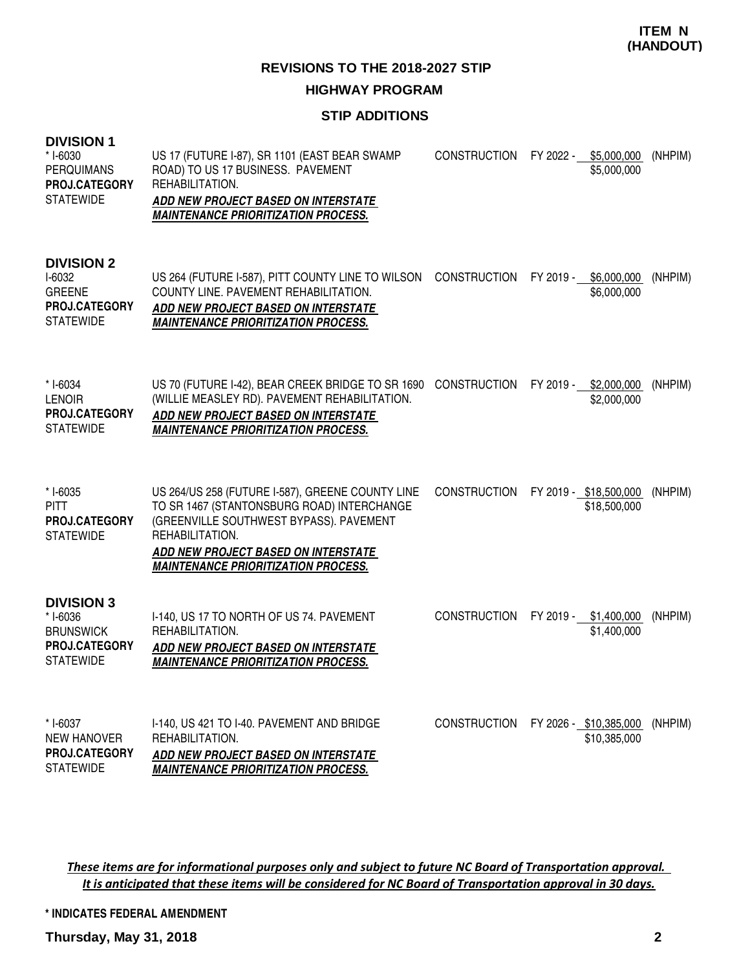#### **REVISIONS TO THE 2018-2027 STIP**

#### **HIGHWAY PROGRAM**

## **STIP ADDITIONS**

| ו וטוטויש<br>* I-6030<br><b>PERQUIMANS</b><br>PROJ.CATEGORY<br><b>STATEWIDE</b>        | US 17 (FUTURE I-87), SR 1101 (EAST BEAR SWAMP<br>ROAD) TO US 17 BUSINESS. PAVEMENT<br>REHABILITATION.<br>ADD NEW PROJECT BASED ON INTERSTATE<br><b>MAINTENANCE PRIORITIZATION PROCESS.</b>                                                               |                     | CONSTRUCTION FY 2022 - \$5,000,000<br>\$5,000,000 | (NHPIM) |
|----------------------------------------------------------------------------------------|----------------------------------------------------------------------------------------------------------------------------------------------------------------------------------------------------------------------------------------------------------|---------------------|---------------------------------------------------|---------|
| <b>DIVISION 2</b><br>I-6032<br><b>GREENE</b><br>PROJ.CATEGORY<br><b>STATEWIDE</b>      | US 264 (FUTURE I-587), PITT COUNTY LINE TO WILSON CONSTRUCTION FY 2019 - \$6,000,000<br>COUNTY LINE. PAVEMENT REHABILITATION.<br>ADD NEW PROJECT BASED ON INTERSTATE<br><b>MAINTENANCE PRIORITIZATION PROCESS.</b>                                       |                     | \$6,000,000                                       | (NHPIM) |
| * I-6034<br><b>LENOIR</b><br>PROJ.CATEGORY<br><b>STATEWIDE</b>                         | US 70 (FUTURE 1-42), BEAR CREEK BRIDGE TO SR 1690 CONSTRUCTION<br>(WILLIE MEASLEY RD). PAVEMENT REHABILITATION.<br><b>ADD NEW PROJECT BASED ON INTERSTATE</b><br><b>MAINTENANCE PRIORITIZATION PROCESS.</b>                                              |                     | FY 2019 -<br>\$2,000,000<br>\$2,000,000           | (NHPIM) |
| * I-6035<br><b>PITT</b><br><b>PROJ.CATEGORY</b><br><b>STATEWIDE</b>                    | US 264/US 258 (FUTURE I-587), GREENE COUNTY LINE<br>TO SR 1467 (STANTONSBURG ROAD) INTERCHANGE<br>(GREENVILLE SOUTHWEST BYPASS). PAVEMENT<br>REHABILITATION.<br><b>ADD NEW PROJECT BASED ON INTERSTATE</b><br><b>MAINTENANCE PRIORITIZATION PROCESS.</b> | <b>CONSTRUCTION</b> | FY 2019 - \$18,500,000<br>\$18,500,000            | (NHPIM) |
| <b>DIVISION 3</b><br>* I-6036<br><b>BRUNSWICK</b><br>PROJ.CATEGORY<br><b>STATEWIDE</b> | I-140, US 17 TO NORTH OF US 74. PAVEMENT<br>REHABILITATION.<br>ADD NEW PROJECT BASED ON INTERSTATE<br><b>MAINTENANCE PRIORITIZATION PROCESS.</b>                                                                                                         | <b>CONSTRUCTION</b> | FY 2019 - \$1,400,000<br>\$1,400,000              | (NHPIM) |
| * I-6037<br><b>NEW HANOVER</b><br><b>PROJ.CATEGORY</b><br><b>STATEWIDE</b>             | I-140, US 421 TO I-40. PAVEMENT AND BRIDGE<br>REHABILITATION.<br><b>ADD NEW PROJECT BASED ON INTERSTATE</b><br><b>MAINTENANCE PRIORITIZATION PROCESS.</b>                                                                                                | <b>CONSTRUCTION</b> | FY 2026 - \$10,385,000<br>\$10,385,000            | (NHPIM) |

These items are for informational purposes only and subject to future NC Board of Transportation approval. It is anticipated that these items will be considered for NC Board of Transportation approval in 30 days.

**\* INDICATES FEDERAL AMENDMENT**

**Thursday, May 31, 2018 2**

**DIVISION 1**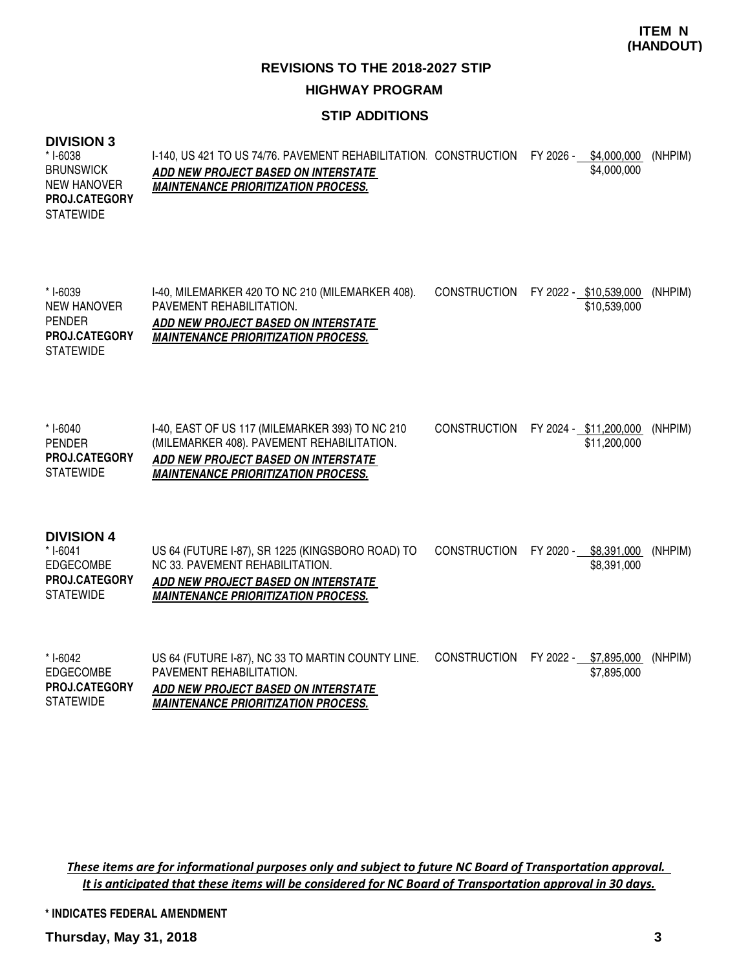#### **STIP ADDITIONS**

# **DIVISION 3**

| <b>DIVISION 3</b><br>* I-6038<br><b>BRUNSWICK</b><br><b>NEW HANOVER</b><br><b>PROJ.CATEGORY</b><br><b>STATEWIDE</b> | I-140, US 421 TO US 74/76. PAVEMENT REHABILITATION CONSTRUCTION<br>ADD NEW PROJECT BASED ON INTERSTATE<br><b>MAINTENANCE PRIORITIZATION PROCESS.</b>                               |                     | FY 2026 - \$4,000,000<br>\$4,000,000    | (NHPIM) |
|---------------------------------------------------------------------------------------------------------------------|------------------------------------------------------------------------------------------------------------------------------------------------------------------------------------|---------------------|-----------------------------------------|---------|
| * I-6039<br><b>NEW HANOVER</b><br><b>PENDER</b><br><b>PROJ.CATEGORY</b><br><b>STATEWIDE</b>                         | I-40, MILEMARKER 420 TO NC 210 (MILEMARKER 408).<br>PAVEMENT REHABILITATION.<br>ADD NEW PROJECT BASED ON INTERSTATE<br><b>MAINTENANCE PRIORITIZATION PROCESS.</b>                  | <b>CONSTRUCTION</b> | FY 2022 - \$10,539,000<br>\$10,539,000  | (NHPIM) |
| * I-6040<br><b>PENDER</b><br><b>PROJ.CATEGORY</b><br><b>STATEWIDE</b>                                               | I-40, EAST OF US 117 (MILEMARKER 393) TO NC 210<br>(MILEMARKER 408). PAVEMENT REHABILITATION.<br>ADD NEW PROJECT BASED ON INTERSTATE<br><b>MAINTENANCE PRIORITIZATION PROCESS.</b> | <b>CONSTRUCTION</b> | FY 2024 - \$11,200,000<br>\$11,200,000  | (NHPIM) |
| <b>DIVISION 4</b><br>$* I-6041$<br><b>EDGECOMBE</b><br>PROJ.CATEGORY<br><b>STATEWIDE</b>                            | US 64 (FUTURE I-87), SR 1225 (KINGSBORO ROAD) TO<br>NC 33. PAVEMENT REHABILITATION.<br>ADD NEW PROJECT BASED ON INTERSTATE<br><b>MAINTENANCE PRIORITIZATION PROCESS.</b>           | <b>CONSTRUCTION</b> | FY 2020 -<br>\$8,391,000<br>\$8,391,000 | (NHPIM) |
| $*$ I-6042<br><b>EDGECOMBE</b><br>PROJ.CATEGORY<br><b>STATEWIDE</b>                                                 | US 64 (FUTURE I-87), NC 33 TO MARTIN COUNTY LINE.<br>PAVEMENT REHABILITATION.<br>ADD NEW PROJECT BASED ON INTERSTATE<br><b>MAINTENANCE PRIORITIZATION PROCESS.</b>                 | <b>CONSTRUCTION</b> | FY 2022 -<br>\$7,895,000<br>\$7,895,000 | (NHPIM) |

These items are for informational purposes only and subject to future NC Board of Transportation approval. It is anticipated that these items will be considered for NC Board of Transportation approval in 30 days.

**\* INDICATES FEDERAL AMENDMENT**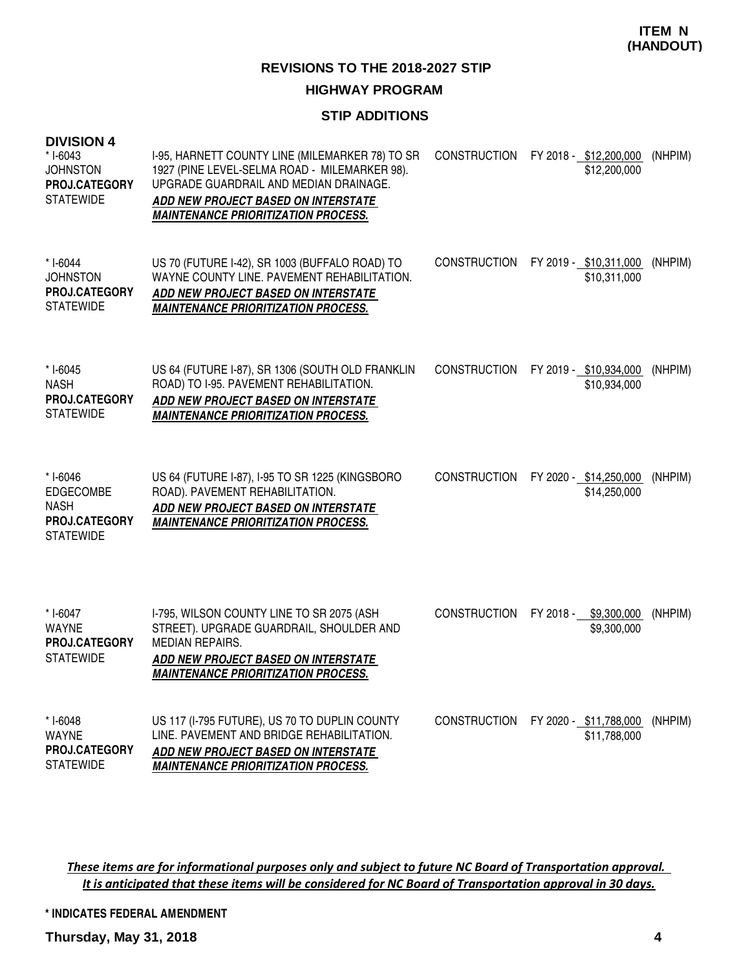# **HIGHWAY PROGRAM**

# **STIP ADDITIONS**

| <b>DIVISION 4</b><br>* I-6043<br><b>JOHNSTON</b><br>PROJ.CATEGORY<br><b>STATEWIDE</b> | I-95, HARNETT COUNTY LINE (MILEMARKER 78) TO SR<br>1927 (PINE LEVEL-SELMA ROAD - MILEMARKER 98).<br>UPGRADE GUARDRAIL AND MEDIAN DRAINAGE.<br>ADD NEW PROJECT BASED ON INTERSTATE<br><b>MAINTENANCE PRIORITIZATION PROCESS.</b> | <b>CONSTRUCTION</b> | FY 2018 - \$12,200,000<br>\$12,200,000 | (NHPIM) |
|---------------------------------------------------------------------------------------|---------------------------------------------------------------------------------------------------------------------------------------------------------------------------------------------------------------------------------|---------------------|----------------------------------------|---------|
| * I-6044<br><b>JOHNSTON</b><br><b>PROJ.CATEGORY</b><br><b>STATEWIDE</b>               | US 70 (FUTURE I-42), SR 1003 (BUFFALO ROAD) TO<br>WAYNE COUNTY LINE. PAVEMENT REHABILITATION.<br>ADD NEW PROJECT BASED ON INTERSTATE<br><b>MAINTENANCE PRIORITIZATION PROCESS.</b>                                              | <b>CONSTRUCTION</b> | FY 2019 - \$10,311,000<br>\$10,311,000 | (NHPIM) |
| $* I - 6045$<br><b>NASH</b><br><b>PROJ.CATEGORY</b><br><b>STATEWIDE</b>               | US 64 (FUTURE I-87), SR 1306 (SOUTH OLD FRANKLIN<br>ROAD) TO I-95. PAVEMENT REHABILITATION.<br>ADD NEW PROJECT BASED ON INTERSTATE<br><b>MAINTENANCE PRIORITIZATION PROCESS.</b>                                                | <b>CONSTRUCTION</b> | FY 2019 - \$10,934,000<br>\$10,934,000 | (NHPIM) |
| * I-6046<br>EDGECOMBE<br><b>NASH</b><br>PROJ.CATEGORY<br><b>STATEWIDE</b>             | US 64 (FUTURE I-87), I-95 TO SR 1225 (KINGSBORO<br>ROAD). PAVEMENT REHABILITATION.<br>ADD NEW PROJECT BASED ON INTERSTATE<br><b>MAINTENANCE PRIORITIZATION PROCESS.</b>                                                         | <b>CONSTRUCTION</b> | FY 2020 - \$14,250,000<br>\$14,250,000 | (NHPIM) |
| * I-6047<br><b>WAYNE</b><br>PROJ.CATEGORY<br><b>STATEWIDE</b>                         | I-795, WILSON COUNTY LINE TO SR 2075 (ASH<br>STREET). UPGRADE GUARDRAIL, SHOULDER AND<br><b>MEDIAN REPAIRS.</b><br>ADD NEW PROJECT BASED ON INTERSTATE<br><b>MAINTENANCE PRIORITIZATION PROCESS.</b>                            | <b>CONSTRUCTION</b> | FY 2018 - \$9,300,000<br>\$9,300,000   | (NHPIM) |
| * I-6048<br>WAYNE<br><b>PROJ.CATEGORY</b><br><b>STATEWIDE</b>                         | US 117 (I-795 FUTURE), US 70 TO DUPLIN COUNTY<br>LINE, PAVEMENT AND BRIDGE REHABILITATION.<br>ADD NEW PROJECT BASED ON INTERSTATE<br><b>MAINTENANCE PRIORITIZATION PROCESS.</b>                                                 | <b>CONSTRUCTION</b> | FY 2020 - \$11,788,000<br>\$11,788,000 | (NHPIM) |

These items are for informational purposes only and subject to future NC Board of Transportation approval. It is anticipated that these items will be considered for NC Board of Transportation approval in 30 days.

**\* INDICATES FEDERAL AMENDMENT**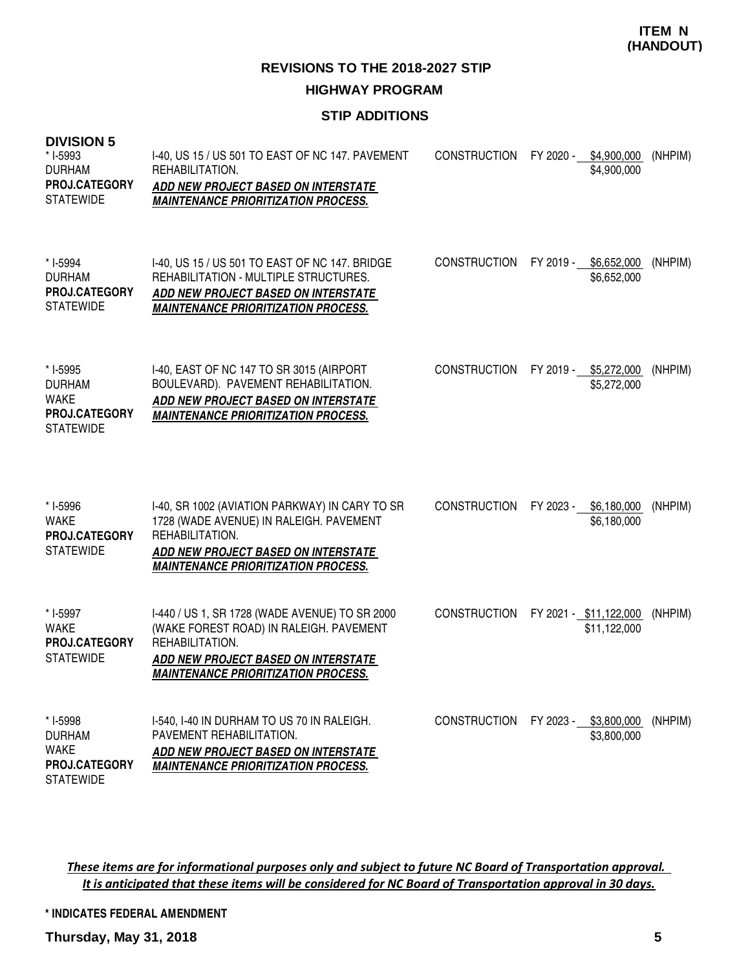**REVISIONS TO THE 2018-2027 STIP HIGHWAY PROGRAM**

## **STIP ADDITIONS**

| <b>DIVISION 5</b><br>* I-5993<br><b>DURHAM</b><br><b>PROJ.CATEGORY</b><br><b>STATEWIDE</b> | I-40, US 15 / US 501 TO EAST OF NC 147. PAVEMENT<br>REHABILITATION.<br><b>ADD NEW PROJECT BASED ON INTERSTATE</b><br><b>MAINTENANCE PRIORITIZATION PROCESS.</b>                                          | <b>CONSTRUCTION</b> | FY 2020 - \$4,900,000  | \$4,900,000                | (NHPIM) |
|--------------------------------------------------------------------------------------------|----------------------------------------------------------------------------------------------------------------------------------------------------------------------------------------------------------|---------------------|------------------------|----------------------------|---------|
| * I-5994<br><b>DURHAM</b><br><b>PROJ.CATEGORY</b><br><b>STATEWIDE</b>                      | I-40, US 15 / US 501 TO EAST OF NC 147. BRIDGE<br>REHABILITATION - MULTIPLE STRUCTURES.<br>ADD NEW PROJECT BASED ON INTERSTATE<br><b>MAINTENANCE PRIORITIZATION PROCESS.</b>                             | <b>CONSTRUCTION</b> | FY 2019 -              | \$6,652,000<br>\$6,652,000 | (NHPIM) |
| * I-5995<br><b>DURHAM</b><br><b>WAKE</b><br><b>PROJ.CATEGORY</b><br><b>STATEWIDE</b>       | I-40, EAST OF NC 147 TO SR 3015 (AIRPORT<br>BOULEVARD). PAVEMENT REHABILITATION.<br>ADD NEW PROJECT BASED ON INTERSTATE<br><b>MAINTENANCE PRIORITIZATION PROCESS.</b>                                    | <b>CONSTRUCTION</b> | FY 2019 - \$5,272,000  | \$5,272,000                | (NHPIM) |
| * I-5996<br><b>WAKE</b><br><b>PROJ.CATEGORY</b><br><b>STATEWIDE</b>                        | I-40, SR 1002 (AVIATION PARKWAY) IN CARY TO SR<br>1728 (WADE AVENUE) IN RALEIGH. PAVEMENT<br>REHABILITATION.<br><b>ADD NEW PROJECT BASED ON INTERSTATE</b><br><b>MAINTENANCE PRIORITIZATION PROCESS.</b> | <b>CONSTRUCTION</b> | FY 2023 - \$6,180,000  | \$6,180,000                | (NHPIM) |
| * I-5997<br><b>WAKE</b><br><b>PROJ.CATEGORY</b><br><b>STATEWIDE</b>                        | I-440 / US 1, SR 1728 (WADE AVENUE) TO SR 2000<br>(WAKE FOREST ROAD) IN RALEIGH. PAVEMENT<br>REHABILITATION.<br><b>ADD NEW PROJECT BASED ON INTERSTATE</b><br><b>MAINTENANCE PRIORITIZATION PROCESS.</b> | <b>CONSTRUCTION</b> | FY 2021 - \$11,122,000 | \$11,122,000               | (NHPIM) |
| * I-5998<br><b>DURHAM</b><br><b>WAKE</b><br><b>PROJ.CATEGORY</b>                           | I-540, I-40 IN DURHAM TO US 70 IN RALEIGH.<br>PAVEMENT REHABILITATION.<br>ADD NEW PROJECT BASED ON INTERSTATE<br><b>MAINTENANCE PRIORITIZATION PROCESS.</b>                                              | <b>CONSTRUCTION</b> | FY 2023 - \$3,800,000  | \$3,800,000                | (NHPIM) |

These items are for informational purposes only and subject to future NC Board of Transportation approval. It is anticipated that these items will be considered for NC Board of Transportation approval in 30 days.

**\* INDICATES FEDERAL AMENDMENT**

**Thursday, May 31, 2018 5**

**STATEWIDE**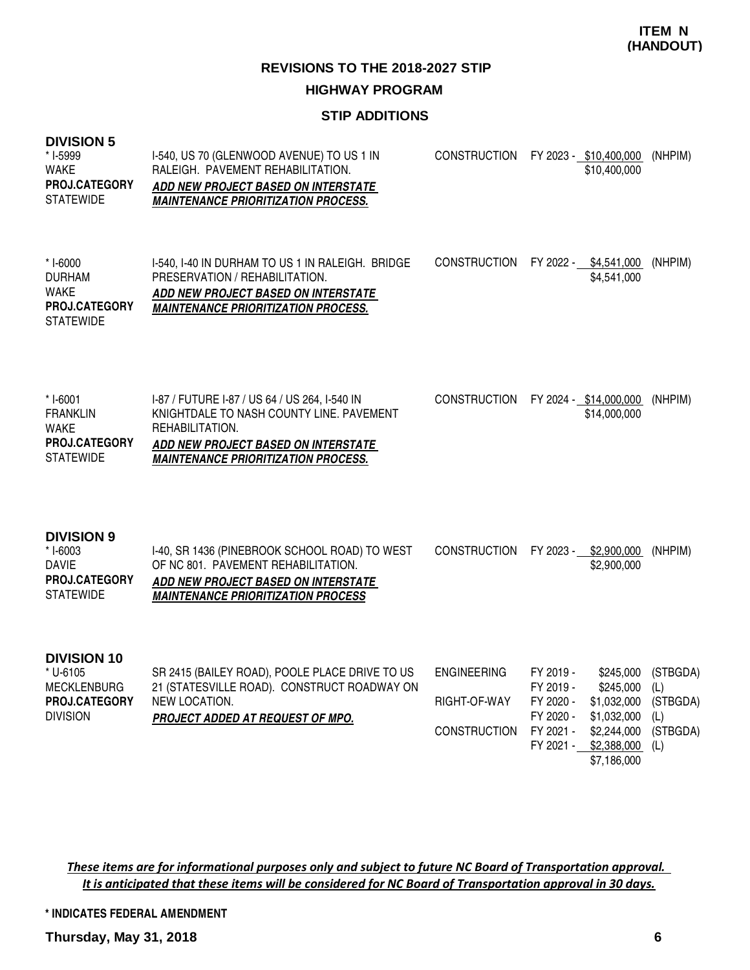**REVISIONS TO THE 2018-2027 STIP HIGHWAY PROGRAM**

#### **STIP ADDITIONS**

| <b>DIVISION 5</b><br>* I-5999<br><b>WAKE</b><br><b>PROJ.CATEGORY</b><br><b>STATEWIDE</b> | I-540, US 70 (GLENWOOD AVENUE) TO US 1 IN<br>RALEIGH. PAVEMENT REHABILITATION.<br>ADD NEW PROJECT BASED ON INTERSTATE<br><b>MAINTENANCE PRIORITIZATION PROCESS.</b>                                      | <b>CONSTRUCTION</b>                                       |                                                                            | FY 2023 - \$10,400,000<br>\$10,400,000                                                            | (NHPIM)                                               |
|------------------------------------------------------------------------------------------|----------------------------------------------------------------------------------------------------------------------------------------------------------------------------------------------------------|-----------------------------------------------------------|----------------------------------------------------------------------------|---------------------------------------------------------------------------------------------------|-------------------------------------------------------|
| * I-6000<br><b>DURHAM</b><br>WAKE<br>PROJ.CATEGORY<br><b>STATEWIDE</b>                   | I-540, I-40 IN DURHAM TO US 1 IN RALEIGH. BRIDGE<br>PRESERVATION / REHABILITATION.<br>ADD NEW PROJECT BASED ON INTERSTATE<br><b>MAINTENANCE PRIORITIZATION PROCESS.</b>                                  | <b>CONSTRUCTION</b>                                       |                                                                            | FY 2022 - \$4,541,000<br>\$4,541,000                                                              | (NHPIM)                                               |
| * I-6001<br><b>FRANKLIN</b><br><b>WAKE</b><br><b>PROJ.CATEGORY</b><br><b>STATEWIDE</b>   | I-87 / FUTURE I-87 / US 64 / US 264, I-540 IN<br>KNIGHTDALE TO NASH COUNTY LINE. PAVEMENT<br>REHABILITATION.<br><b>ADD NEW PROJECT BASED ON INTERSTATE</b><br><b>MAINTENANCE PRIORITIZATION PROCESS.</b> | CONSTRUCTION                                              |                                                                            | FY 2024 - \$14,000,000<br>\$14,000,000                                                            | (NHPIM)                                               |
| <b>DIVISION 9</b><br>* I-6003<br><b>DAVIE</b><br>PROJ.CATEGORY<br><b>STATEWIDE</b>       | I-40, SR 1436 (PINEBROOK SCHOOL ROAD) TO WEST<br>OF NC 801. PAVEMENT REHABILITATION.<br>ADD NEW PROJECT BASED ON INTERSTATE<br><b>MAINTENANCE PRIORITIZATION PROCESS</b>                                 | <b>CONSTRUCTION</b>                                       |                                                                            | FY 2023 - \$2,900,000<br>\$2,900,000                                                              | (NHPIM)                                               |
| <b>DIVISION 10</b><br>* U-6105<br><b>MECKLENBURG</b><br>PROJ.CATEGORY<br><b>DIVISION</b> | SR 2415 (BAILEY ROAD), POOLE PLACE DRIVE TO US<br>21 (STATESVILLE ROAD). CONSTRUCT ROADWAY ON<br>NEW LOCATION.<br>PROJECT ADDED AT REQUEST OF MPO.                                                       | <b>ENGINEERING</b><br>RIGHT-OF-WAY<br><b>CONSTRUCTION</b> | FY 2019 -<br>FY 2019 -<br>FY 2020 -<br>FY 2020 -<br>FY 2021 -<br>FY 2021 - | \$245,000<br>\$245,000<br>\$1,032,000<br>\$1,032,000<br>\$2,244,000<br>\$2,388,000<br>\$7,186,000 | (STBGDA)<br>(L)<br>(STBGDA)<br>(L)<br>(STBGDA)<br>(L) |

These items are for informational purposes only and subject to future NC Board of Transportation approval. It is anticipated that these items will be considered for NC Board of Transportation approval in 30 days.

**\* INDICATES FEDERAL AMENDMENT**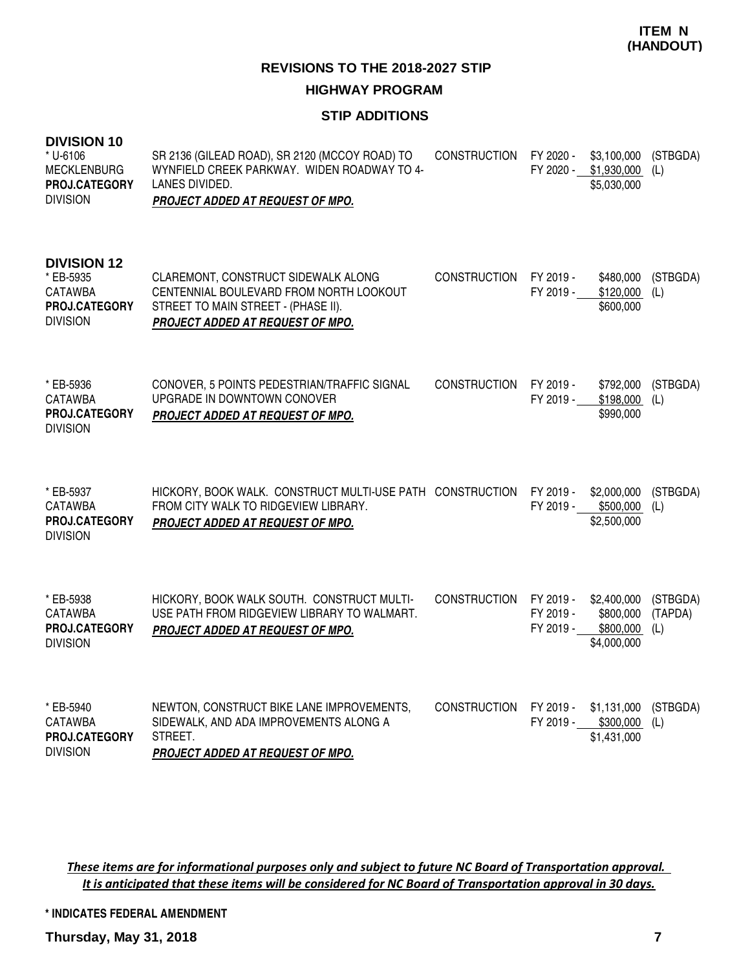**REVISIONS TO THE 2018-2027 STIP**

# **HIGHWAY PROGRAM**

## **STIP ADDITIONS**

| <b>DIVISION 10</b><br>* U-6106<br><b>MECKLENBURG</b><br>PROJ.CATEGORY<br><b>DIVISION</b> | SR 2136 (GILEAD ROAD), SR 2120 (MCCOY ROAD) TO<br>WYNFIELD CREEK PARKWAY. WIDEN ROADWAY TO 4-<br>LANES DIVIDED.<br><b>PROJECT ADDED AT REQUEST OF MPO.</b> | <b>CONSTRUCTION</b> | FY 2020 -<br>FY 2020 -              | \$3,100,000<br>\$1,930,000<br>\$5,030,000            | (STBGDA)<br>(L)            |
|------------------------------------------------------------------------------------------|------------------------------------------------------------------------------------------------------------------------------------------------------------|---------------------|-------------------------------------|------------------------------------------------------|----------------------------|
| <b>DIVISION 12</b><br>* EB-5935<br><b>CATAWBA</b><br>PROJ.CATEGORY<br><b>DIVISION</b>    | CLAREMONT, CONSTRUCT SIDEWALK ALONG<br>CENTENNIAL BOULEVARD FROM NORTH LOOKOUT<br>STREET TO MAIN STREET - (PHASE II).<br>PROJECT ADDED AT REQUEST OF MPO.  | <b>CONSTRUCTION</b> | FY 2019 -<br>FY 2019 -              | \$480,000<br>\$120,000<br>\$600,000                  | (STBGDA)<br>(L)            |
| * EB-5936<br>CATAWBA<br><b>PROJ.CATEGORY</b><br><b>DIVISION</b>                          | CONOVER, 5 POINTS PEDESTRIAN/TRAFFIC SIGNAL<br>UPGRADE IN DOWNTOWN CONOVER<br>PROJECT ADDED AT REQUEST OF MPO.                                             | <b>CONSTRUCTION</b> | FY 2019 -<br>FY 2019 -              | \$792,000<br>\$198,000<br>\$990,000                  | (STBGDA)<br>(L)            |
| * EB-5937<br><b>CATAWBA</b><br><b>PROJ.CATEGORY</b><br><b>DIVISION</b>                   | HICKORY, BOOK WALK. CONSTRUCT MULTI-USE PATH CONSTRUCTION<br>FROM CITY WALK TO RIDGEVIEW LIBRARY.<br>PROJECT ADDED AT REQUEST OF MPO.                      |                     | FY 2019 -                           | \$2,000,000<br>FY 2019 - \$500,000<br>\$2,500,000    | (STBGDA)<br>(L)            |
| * EB-5938<br><b>CATAWBA</b><br>PROJ.CATEGORY<br><b>DIVISION</b>                          | HICKORY, BOOK WALK SOUTH. CONSTRUCT MULTI-<br>USE PATH FROM RIDGEVIEW LIBRARY TO WALMART.<br><b>PROJECT ADDED AT REQUEST OF MPO.</b>                       | <b>CONSTRUCTION</b> | FY 2019 -<br>FY 2019 -<br>FY 2019 - | \$2,400,000<br>\$800,000<br>\$800,000<br>\$4,000,000 | (STBGDA)<br>(TAPDA)<br>(L) |
| * EB-5940<br><b>CATAWBA</b><br>PROJ.CATEGORY<br><b>DIVISION</b>                          | NEWTON, CONSTRUCT BIKE LANE IMPROVEMENTS,<br>SIDEWALK, AND ADA IMPROVEMENTS ALONG A<br>STREET.<br>PROJECT ADDED AT REQUEST OF MPO.                         | <b>CONSTRUCTION</b> | FY 2019 -<br>FY 2019 -              | \$1,131,000<br>\$300,000<br>\$1,431,000              | (STBGDA)<br>(L)            |

These items are for informational purposes only and subject to future NC Board of Transportation approval. It is anticipated that these items will be considered for NC Board of Transportation approval in 30 days.

**\* INDICATES FEDERAL AMENDMENT**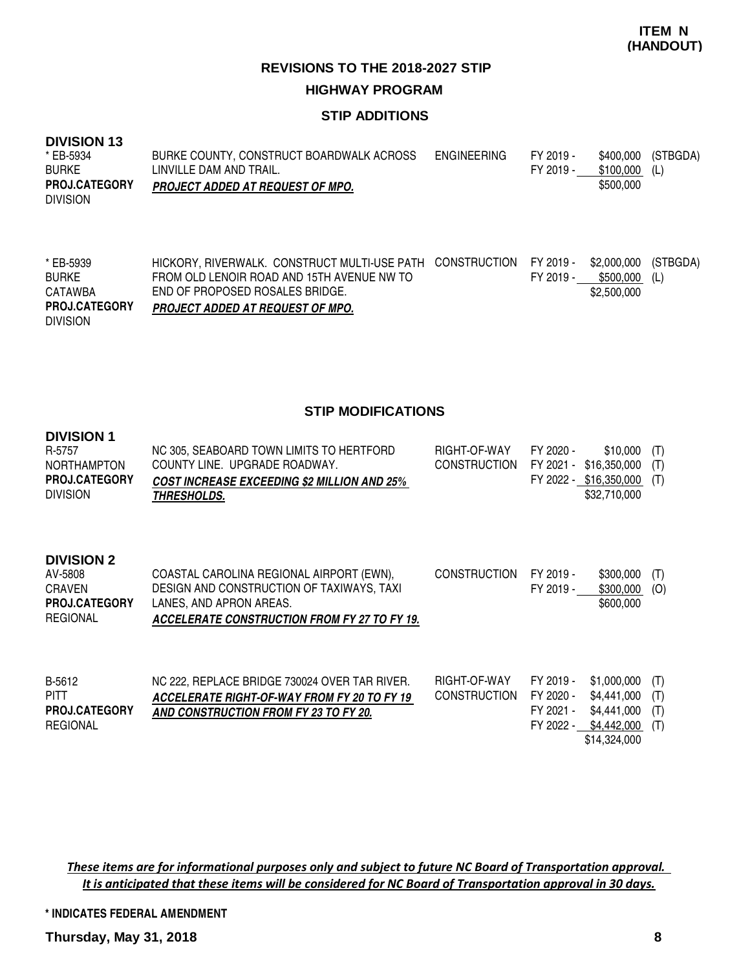# **STIP ADDITIONS**

#### **DIVISION 13**

| * EB-5934            | BURKE COUNTY, CONSTRUCT BOARDWALK ACROSS | ENGINEERING | FY 2019 - | \$400.000 | (STBGDA) |
|----------------------|------------------------------------------|-------------|-----------|-----------|----------|
| <b>BURKE</b>         | LINVILLE DAM AND TRAIL.                  |             | FY 2019 - | \$100.000 | (L)      |
| <b>PROJ.CATEGORY</b> | <b>PROJECT ADDED AT REQUEST OF MPO.</b>  |             |           | \$500,000 |          |
| <b>DIVISION</b>      |                                          |             |           |           |          |
|                      |                                          |             |           |           |          |

| * EB-5939            | HICKORY, RIVERWALK. CONSTRUCT MULTI-USE PATH CONSTRUCTION FY 2019 - \$2,000,000 (STBGDA) |           |               |  |
|----------------------|------------------------------------------------------------------------------------------|-----------|---------------|--|
| <b>BURKE</b>         | FROM OLD LENOIR ROAD AND 15TH AVENUE NW TO                                               | FY 2019 - | \$500,000 (L) |  |
| CATAWBA              | END OF PROPOSED ROSALES BRIDGE.                                                          |           | \$2,500,000   |  |
| <b>PROJ.CATEGORY</b> | <b>PROJECT ADDED AT REQUEST OF MPO.</b>                                                  |           |               |  |
| <b>DIVISION</b>      |                                                                                          |           |               |  |

#### **STIP MODIFICATIONS**

#### **DIVISION 1**

| R-5757<br><b>NORTHAMPTON</b> | NC 305, SEABOARD TOWN LIMITS TO HERTFORD<br>COUNTY LINE. UPGRADE ROADWAY. | RIGHT-OF-WAY<br>CONSTRUCTION FY 2021 - \$16,350,000 (T) | FY 2020 - | $$10,000$ (T)              |  |
|------------------------------|---------------------------------------------------------------------------|---------------------------------------------------------|-----------|----------------------------|--|
| <b>PROJ.CATEGORY</b>         | <b>COST INCREASE EXCEEDING \$2 MILLION AND 25%</b>                        |                                                         |           | FY 2022 - \$16,350,000 (T) |  |
| <b>DIVISION</b>              | <i><b>THRESHOLDS.</b></i>                                                 |                                                         |           | \$32.710.000               |  |

#### **DIVISION 2**

| AV-5808              | COASTAL CAROLINA REGIONAL AIRPORT (EWN),     | <b>CONSTRUCTION</b> | FY 2019 - | $$300,000$ (T) |  |
|----------------------|----------------------------------------------|---------------------|-----------|----------------|--|
| CRAVEN               | DESIGN AND CONSTRUCTION OF TAXIWAYS, TAXI    |                     | FY 2019 - | $$300,000$ (O) |  |
| <b>PROJ.CATEGORY</b> | LANES. AND APRON AREAS.                      |                     |           | \$600,000      |  |
| REGIONAL             | ACCELERATE CONSTRUCTION FROM FY 27 TO FY 19. |                     |           |                |  |

| B-5612               | NC 222, REPLACE BRIDGE 730024 OVER TAR RIVER. | RIGHT-OF-WAY           | FY 2019 - \$1,000,000 (T) |  |
|----------------------|-----------------------------------------------|------------------------|---------------------------|--|
| <b>PITT</b>          | ACCELERATE RIGHT-OF-WAY FROM FY 20 TO FY 19   | CONSTRUCTION FY 2020 - | \$4,441,000 (T)           |  |
| <b>PROJ.CATEGORY</b> | AND CONSTRUCTION FROM FY 23 TO FY 20.         |                        | FY 2021 - \$4,441,000 (T) |  |
| REGIONAL             |                                               |                        | FY 2022 - \$4,442,000 (T) |  |
|                      |                                               |                        | \$14,324,000              |  |

These items are for informational purposes only and subject to future NC Board of Transportation approval. It is anticipated that these items will be considered for NC Board of Transportation approval in 30 days.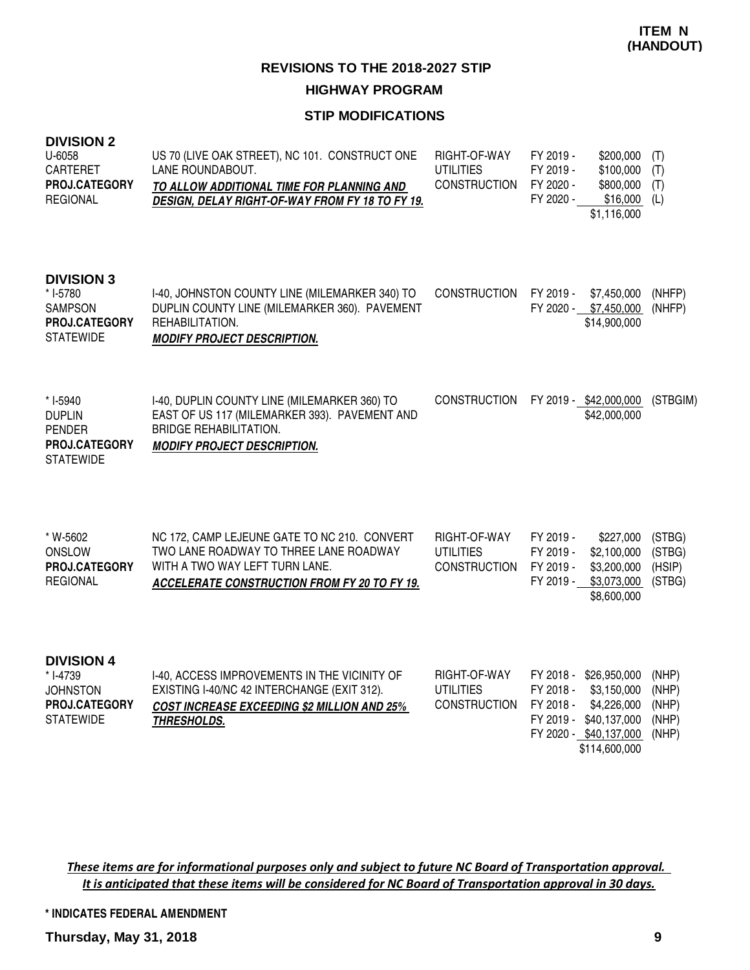#### **STIP MODIFICATIONS**

| <b>DIVISION 2</b><br>U-6058<br><b>CARTERET</b><br>PROJ.CATEGORY<br><b>REGIONAL</b>           | US 70 (LIVE OAK STREET), NC 101. CONSTRUCT ONE<br>LANE ROUNDABOUT.<br>TO ALLOW ADDITIONAL TIME FOR PLANNING AND<br>DESIGN, DELAY RIGHT-OF-WAY FROM FY 18 TO FY 19.              | RIGHT-OF-WAY<br><b>UTILITIES</b><br><b>CONSTRUCTION</b> | FY 2019 -<br>\$200,000<br>\$100,000<br>FY 2019 -<br>FY 2020 -<br>\$800,000<br>\$16,000<br>FY 2020 -<br>\$1,116,000                                     | (T)<br>(T)<br>(T)<br>(L)                  |
|----------------------------------------------------------------------------------------------|---------------------------------------------------------------------------------------------------------------------------------------------------------------------------------|---------------------------------------------------------|--------------------------------------------------------------------------------------------------------------------------------------------------------|-------------------------------------------|
| <b>DIVISION 3</b><br>* I-5780<br><b>SAMPSON</b><br>PROJ.CATEGORY<br><b>STATEWIDE</b>         | I-40, JOHNSTON COUNTY LINE (MILEMARKER 340) TO<br>DUPLIN COUNTY LINE (MILEMARKER 360). PAVEMENT<br>REHABILITATION.<br><b>MODIFY PROJECT DESCRIPTION.</b>                        | <b>CONSTRUCTION</b>                                     | FY 2019 -<br>\$7,450,000<br>FY 2020 - \$7,450,000<br>\$14,900,000                                                                                      | (NHFP)<br>(NHFP)                          |
| * I-5940<br><b>DUPLIN</b><br><b>PENDER</b><br><b>PROJ.CATEGORY</b><br><b>STATEWIDE</b>       | I-40, DUPLIN COUNTY LINE (MILEMARKER 360) TO<br>EAST OF US 117 (MILEMARKER 393). PAVEMENT AND<br><b>BRIDGE REHABILITATION.</b><br><b>MODIFY PROJECT DESCRIPTION.</b>            | <b>CONSTRUCTION</b>                                     | FY 2019 - \$42,000,000<br>\$42,000,000                                                                                                                 | (STBGIM)                                  |
| * W-5602<br>ONSLOW<br><b>PROJ.CATEGORY</b><br><b>REGIONAL</b>                                | NC 172, CAMP LEJEUNE GATE TO NC 210. CONVERT<br>TWO LANE ROADWAY TO THREE LANE ROADWAY<br>WITH A TWO WAY LEFT TURN LANE.<br><b>ACCELERATE CONSTRUCTION FROM FY 20 TO FY 19.</b> | RIGHT-OF-WAY<br><b>UTILITIES</b><br><b>CONSTRUCTION</b> | FY 2019 -<br>\$227,000<br>FY 2019 -<br>\$2,100,000<br>\$3,200,000<br>FY 2019 -<br>\$3,073,000<br>FY 2019 -<br>\$8,600,000                              | (STBG)<br>(STBG)<br>(HSIP)<br>(STBG)      |
| <b>DIVISION 4</b><br>* I-4739<br><b>JOHNSTON</b><br><b>PROJ.CATEGORY</b><br><b>STATEWIDE</b> | I-40, ACCESS IMPROVEMENTS IN THE VICINITY OF<br>EXISTING I-40/NC 42 INTERCHANGE (EXIT 312).<br><b>COST INCREASE EXCEEDING \$2 MILLION AND 25%</b><br>THRESHOLDS.                | RIGHT-OF-WAY<br><b>UTILITIES</b><br><b>CONSTRUCTION</b> | FY 2018 - \$26,950,000<br>FY 2018 -<br>\$3,150,000<br>FY 2018 -<br>\$4,226,000<br>FY 2019 -<br>\$40,137,000<br>FY 2020 - \$40,137,000<br>\$114,600,000 | (NHP)<br>(NHP)<br>(NHP)<br>(NHP)<br>(NHP) |

These items are for informational purposes only and subject to future NC Board of Transportation approval. It is anticipated that these items will be considered for NC Board of Transportation approval in 30 days.

**\* INDICATES FEDERAL AMENDMENT**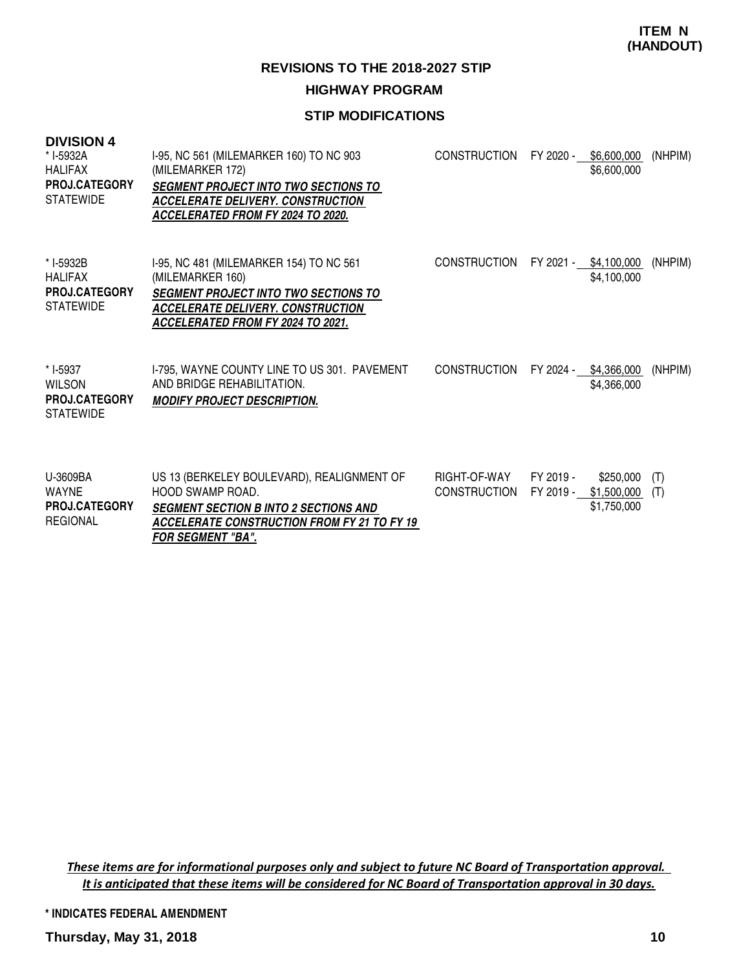**REVISIONS TO THE 2018-2027 STIP**

# **HIGHWAY PROGRAM**

# **STIP MODIFICATIONS**

| <b>DIVISION 4</b><br>* I-5932A<br><b>HALIFAX</b><br><b>PROJ.CATEGORY</b><br><b>STATEWIDE</b> | I-95, NC 561 (MILEMARKER 160) TO NC 903<br>(MILEMARKER 172)<br><b>SEGMENT PROJECT INTO TWO SECTIONS TO</b><br><b>ACCELERATE DELIVERY. CONSTRUCTION</b><br><b>ACCELERATED FROM FY 2024 TO 2020.</b> | <b>CONSTRUCTION</b>                 | FY 2020 -              | \$6,600,000<br>\$6,600,000              | (NHPIM)    |
|----------------------------------------------------------------------------------------------|----------------------------------------------------------------------------------------------------------------------------------------------------------------------------------------------------|-------------------------------------|------------------------|-----------------------------------------|------------|
| * I-5932B<br><b>HALIFAX</b><br>PROJ.CATEGORY<br><b>STATEWIDE</b>                             | 1-95, NC 481 (MILEMARKER 154) TO NC 561<br>(MILEMARKER 160)<br><b>SEGMENT PROJECT INTO TWO SECTIONS TO</b><br><b>ACCELERATE DELIVERY. CONSTRUCTION</b><br>ACCELERATED FROM FY 2024 TO 2021.        | <b>CONSTRUCTION</b>                 | FY 2021 - \$4,100,000  | \$4,100,000                             | (NHPIM)    |
| * I-5937<br><b>WILSON</b><br><b>PROJ.CATEGORY</b><br><b>STATEWIDE</b>                        | I-795, WAYNE COUNTY LINE TO US 301. PAVEMENT<br>AND BRIDGE REHABILITATION.<br><b>MODIFY PROJECT DESCRIPTION.</b>                                                                                   | <b>CONSTRUCTION</b>                 |                        | FY 2024 - \$4,366,000<br>\$4,366,000    | (NHPIM)    |
| U-3609BA<br><b>WAYNE</b><br><b>PROJ.CATEGORY</b><br><b>REGIONAL</b>                          | US 13 (BERKELEY BOULEVARD), REALIGNMENT OF<br>HOOD SWAMP ROAD.<br><b>SEGMENT SECTION B INTO 2 SECTIONS AND</b><br><b>ACCELERATE CONSTRUCTION FROM FY 21 TO FY 19</b><br>FOR SEGMENT "BA".          | RIGHT-OF-WAY<br><b>CONSTRUCTION</b> | FY 2019 -<br>FY 2019 - | \$250,000<br>\$1,500,000<br>\$1,750,000 | (T)<br>(T) |

These items are for informational purposes only and subject to future NC Board of Transportation approval. It is anticipated that these items will be considered for NC Board of Transportation approval in 30 days.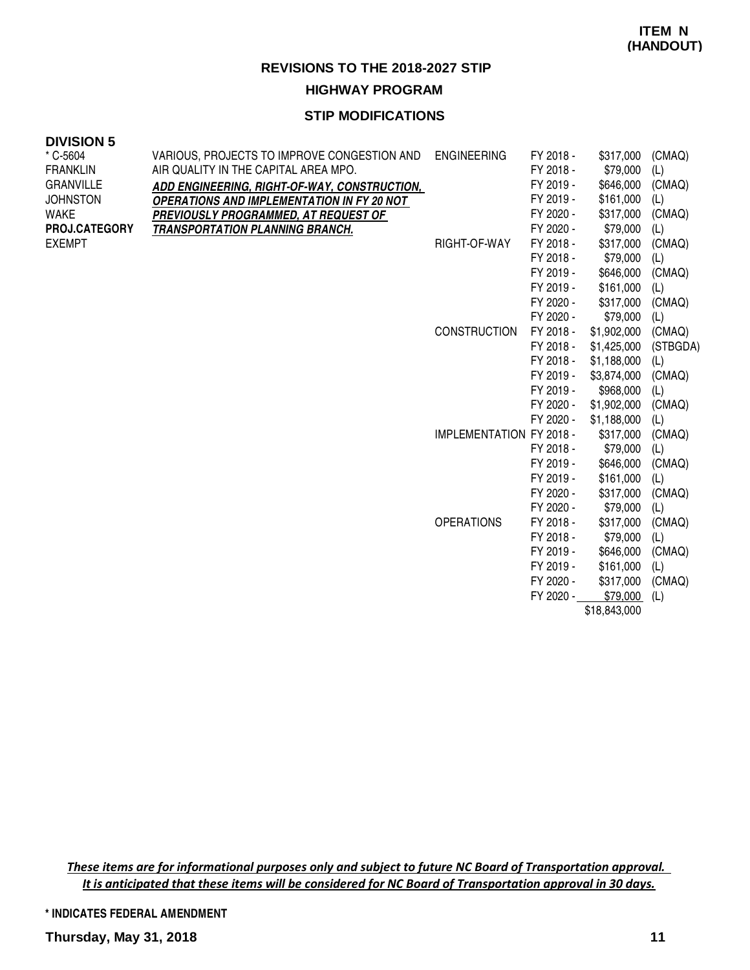# **HIGHWAY PROGRAM**

# **STIP MODIFICATIONS**

## **DIVISION 5**

| $*$ C-5604       | VARIOUS, PROJECTS TO IMPROVE CONGESTION AND       | <b>ENGINEERING</b>              | FY 2018 - | \$317,000    | (CMAQ)   |
|------------------|---------------------------------------------------|---------------------------------|-----------|--------------|----------|
| <b>FRANKLIN</b>  | AIR QUALITY IN THE CAPITAL AREA MPO.              |                                 | FY 2018 - | \$79,000     | (L)      |
| <b>GRANVILLE</b> | ADD ENGINEERING, RIGHT-OF-WAY, CONSTRUCTION,      |                                 | FY 2019 - | \$646,000    | (CMAQ)   |
| <b>JOHNSTON</b>  | <b>OPERATIONS AND IMPLEMENTATION IN FY 20 NOT</b> |                                 | FY 2019 - | \$161,000    | (L)      |
| <b>WAKE</b>      | PREVIOUSLY PROGRAMMED, AT REQUEST OF              |                                 | FY 2020 - | \$317,000    | (CMAQ)   |
| PROJ.CATEGORY    | <b>TRANSPORTATION PLANNING BRANCH.</b>            |                                 | FY 2020 - | \$79,000     | (L)      |
| <b>EXEMPT</b>    |                                                   | RIGHT-OF-WAY                    | FY 2018 - | \$317,000    | (CMAQ)   |
|                  |                                                   |                                 | FY 2018 - | \$79,000     | (L)      |
|                  |                                                   |                                 | FY 2019 - | \$646,000    | (CMAQ)   |
|                  |                                                   |                                 | FY 2019 - | \$161,000    | (L)      |
|                  |                                                   |                                 | FY 2020 - | \$317,000    | (CMAQ)   |
|                  |                                                   |                                 | FY 2020 - | \$79,000     | (L)      |
|                  |                                                   | <b>CONSTRUCTION</b>             | FY 2018 - | \$1,902,000  | (CMAQ)   |
|                  |                                                   |                                 | FY 2018 - | \$1,425,000  | (STBGDA) |
|                  |                                                   |                                 | FY 2018 - | \$1,188,000  | (L)      |
|                  |                                                   |                                 | FY 2019 - | \$3,874,000  | (CMAQ)   |
|                  |                                                   |                                 | FY 2019 - | \$968,000    | (L)      |
|                  |                                                   |                                 | FY 2020 - | \$1,902,000  | (CMAQ)   |
|                  |                                                   |                                 | FY 2020 - | \$1,188,000  | (L)      |
|                  |                                                   | <b>IMPLEMENTATION FY 2018 -</b> |           | \$317,000    | (CMAQ)   |
|                  |                                                   |                                 | FY 2018 - | \$79,000     | (L)      |
|                  |                                                   |                                 | FY 2019 - | \$646,000    | (CMAQ)   |
|                  |                                                   |                                 | FY 2019 - | \$161,000    | (L)      |
|                  |                                                   |                                 | FY 2020 - | \$317,000    | (CMAQ)   |
|                  |                                                   |                                 | FY 2020 - | \$79,000     | (L)      |
|                  |                                                   | <b>OPERATIONS</b>               | FY 2018 - | \$317,000    | (CMAQ)   |
|                  |                                                   |                                 | FY 2018 - | \$79,000     | (L)      |
|                  |                                                   |                                 | FY 2019 - | \$646,000    | (CMAQ)   |
|                  |                                                   |                                 | FY 2019 - | \$161,000    | (L)      |
|                  |                                                   |                                 | FY 2020 - | \$317,000    | (CMAQ)   |
|                  |                                                   |                                 | FY 2020 - | \$79,000     | (L)      |
|                  |                                                   |                                 |           | \$18,843,000 |          |

These items are for informational purposes only and subject to future NC Board of Transportation approval. It is anticipated that these items will be considered for NC Board of Transportation approval in 30 days.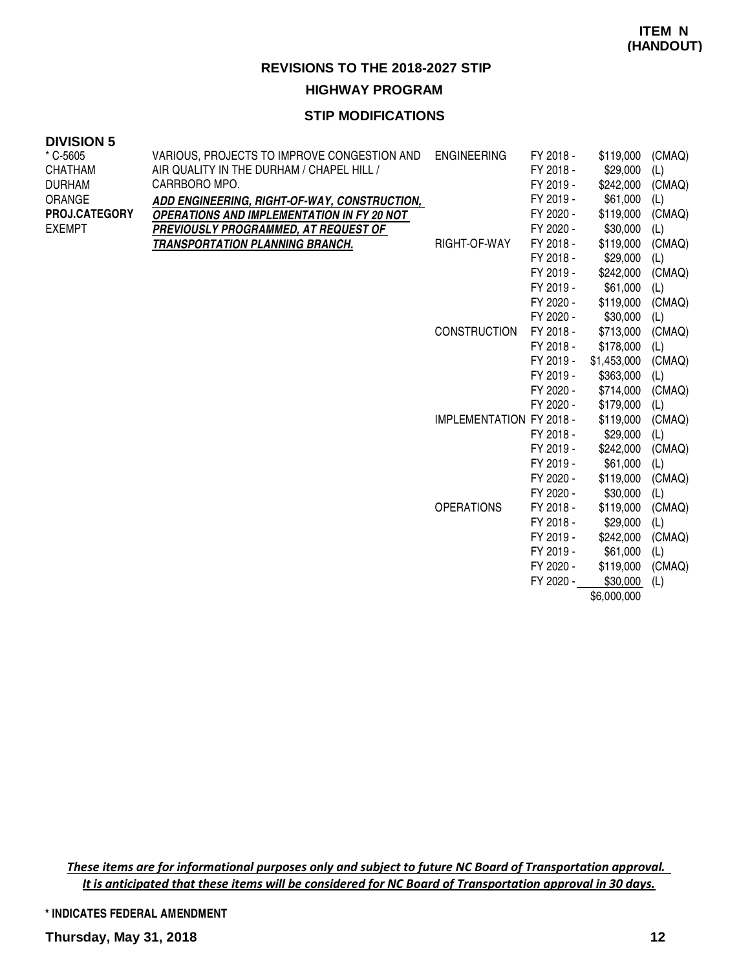# **HIGHWAY PROGRAM**

## **STIP MODIFICATIONS**

#### **DIVISION 5**

| * C-5605<br><b>CHATHAM</b> | VARIOUS, PROJECTS TO IMPROVE CONGESTION AND ENGINEERING<br>AIR QUALITY IN THE DURHAM / CHAPEL HILL / |                                 | FY 2018 -<br>FY 2018 - | \$119,000<br>\$29,000 | (CMAQ)<br>(L) |
|----------------------------|------------------------------------------------------------------------------------------------------|---------------------------------|------------------------|-----------------------|---------------|
| <b>DURHAM</b>              | CARRBORO MPO.                                                                                        |                                 | FY 2019 -              | \$242,000             | (CMAQ)        |
| ORANGE                     | ADD ENGINEERING, RIGHT-OF-WAY, CONSTRUCTION,                                                         |                                 | FY 2019 -              | \$61,000              | (L)           |
| <b>PROJ.CATEGORY</b>       | <b>OPERATIONS AND IMPLEMENTATION IN FY 20 NOT</b>                                                    |                                 | FY 2020 -              | \$119,000             | (CMAQ)        |
| <b>EXEMPT</b>              | PREVIOUSLY PROGRAMMED, AT REQUEST OF                                                                 |                                 | FY 2020 -              | \$30,000              | (L)           |
|                            | <b>TRANSPORTATION PLANNING BRANCH.</b>                                                               | RIGHT-OF-WAY                    | FY 2018 -              | \$119,000             | (CMAQ)        |
|                            |                                                                                                      |                                 | FY 2018 -              | \$29,000              | (L)           |
|                            |                                                                                                      |                                 | FY 2019 -              | \$242,000             | (CMAQ)        |
|                            |                                                                                                      |                                 | FY 2019 -              | \$61,000              | (L)           |
|                            |                                                                                                      |                                 | FY 2020 -              | \$119,000             | (CMAQ)        |
|                            |                                                                                                      |                                 | FY 2020 -              | \$30,000              | (L)           |
|                            |                                                                                                      | <b>CONSTRUCTION</b>             | FY 2018 -              | \$713,000             | (CMAQ)        |
|                            |                                                                                                      |                                 | FY 2018 -              | \$178,000             | (L)           |
|                            |                                                                                                      |                                 | FY 2019 -              | \$1,453,000           | (CMAQ)        |
|                            |                                                                                                      |                                 | FY 2019 -              | \$363,000             | (L)           |
|                            |                                                                                                      |                                 | FY 2020 -              | \$714,000             | (CMAQ)        |
|                            |                                                                                                      |                                 | FY 2020 -              | \$179,000             | (L)           |
|                            |                                                                                                      | <b>IMPLEMENTATION FY 2018 -</b> |                        | \$119,000             | (CMAQ)        |
|                            |                                                                                                      |                                 | FY 2018 -              | \$29,000              | (L)           |
|                            |                                                                                                      |                                 | FY 2019 -              | \$242,000             | (CMAQ)        |
|                            |                                                                                                      |                                 | FY 2019 -              | \$61,000              | (L)           |
|                            |                                                                                                      |                                 | FY 2020 -              | \$119,000             | (CMAQ)        |
|                            |                                                                                                      |                                 | FY 2020 -              | \$30,000              | (L)           |
|                            |                                                                                                      | <b>OPERATIONS</b>               | FY 2018 -              | \$119,000             | (CMAQ)        |
|                            |                                                                                                      |                                 | FY 2018 -              | \$29,000              | (L)           |
|                            |                                                                                                      |                                 | FY 2019 -              | \$242,000             | (CMAQ)        |
|                            |                                                                                                      |                                 | FY 2019 -              | \$61,000              | (L)           |
|                            |                                                                                                      |                                 | FY 2020 -              | \$119,000             | (CMAQ)        |
|                            |                                                                                                      |                                 | FY 2020 -              | \$30,000              | (L)           |
|                            |                                                                                                      |                                 |                        | \$6,000,000           |               |

These items are for informational purposes only and subject to future NC Board of Transportation approval. It is anticipated that these items will be considered for NC Board of Transportation approval in 30 days.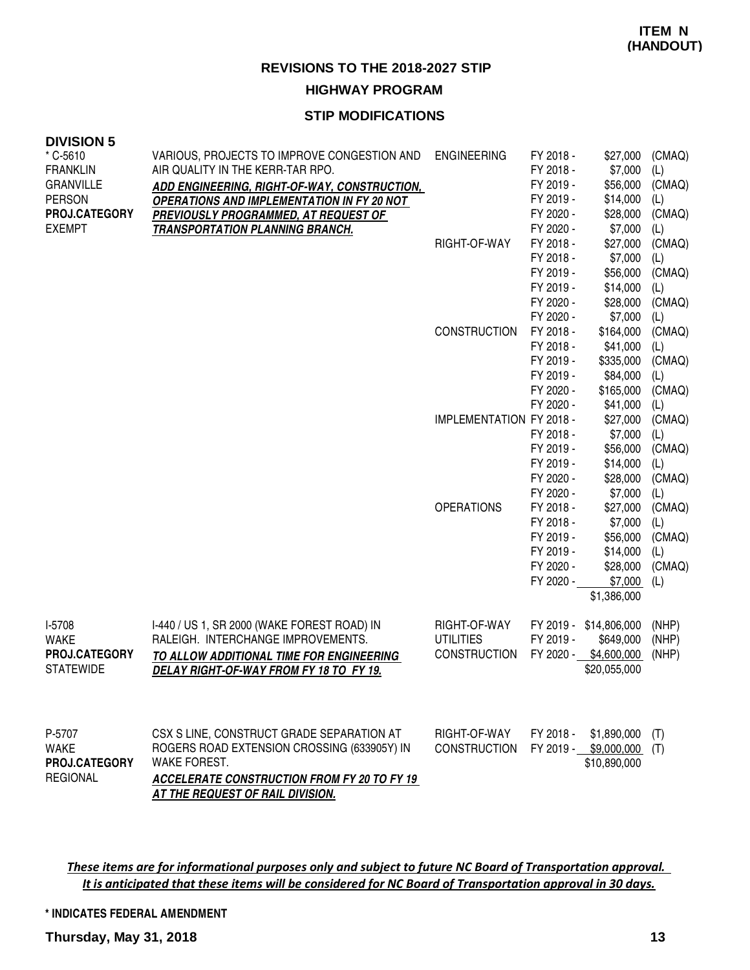# **HIGHWAY PROGRAM**

# **STIP MODIFICATIONS**

#### **DIVISION 5**

| * C-5610<br><b>FRANKLIN</b><br><b>GRANVILLE</b><br><b>PERSON</b><br>PROJ.CATEGORY | VARIOUS, PROJECTS TO IMPROVE CONGESTION AND<br>AIR QUALITY IN THE KERR-TAR RPO.<br><b>ADD ENGINEERING, RIGHT-OF-WAY, CONSTRUCTION,</b><br><b>OPERATIONS AND IMPLEMENTATION IN FY 20 NOT</b><br><b>PREVIOUSLY PROGRAMMED, AT REQUEST OF</b> | <b>ENGINEERING</b>                                      | FY 2018 -<br>FY 2018 -<br>FY 2019 -<br>FY 2019 -<br>FY 2020 -<br>FY 2020 -              | \$27,000<br>\$7,000<br>\$56,000<br>\$14,000<br>\$28,000                            | (CMAQ)<br>(L)<br>(CMAQ)<br>(L)<br>(CMAQ)               |
|-----------------------------------------------------------------------------------|--------------------------------------------------------------------------------------------------------------------------------------------------------------------------------------------------------------------------------------------|---------------------------------------------------------|-----------------------------------------------------------------------------------------|------------------------------------------------------------------------------------|--------------------------------------------------------|
| <b>EXEMPT</b>                                                                     | <b>TRANSPORTATION PLANNING BRANCH.</b>                                                                                                                                                                                                     | RIGHT-OF-WAY                                            | FY 2018 -<br>FY 2018 -<br>FY 2019 -<br>FY 2019 -<br>FY 2020 -                           | \$7,000<br>\$27,000<br>\$7,000<br>\$56,000<br>\$14,000<br>\$28,000                 | (L)<br>(CMAQ)<br>(L)<br>(CMAQ)<br>(L)<br>(CMAQ)        |
|                                                                                   |                                                                                                                                                                                                                                            | <b>CONSTRUCTION</b>                                     | FY 2020 -<br>FY 2018 -<br>FY 2018 -<br>FY 2019 -<br>FY 2019 -<br>FY 2020 -<br>FY 2020 - | \$7,000<br>\$164,000<br>\$41,000<br>\$335,000<br>\$84,000<br>\$165,000<br>\$41,000 | (L)<br>(CMAQ)<br>(L)<br>(CMAQ)<br>(L)<br>(CMAQ)        |
|                                                                                   |                                                                                                                                                                                                                                            | IMPLEMENTATION FY 2018 -                                | FY 2018 -<br>FY 2019 -<br>FY 2019 -<br>FY 2020 -<br>FY 2020 -                           | \$27,000<br>\$7,000<br>\$56,000<br>\$14,000<br>\$28,000<br>\$7,000                 | (L)<br>(CMAQ)<br>(L)<br>(CMAQ)<br>(L)<br>(CMAQ)<br>(L) |
|                                                                                   |                                                                                                                                                                                                                                            | <b>OPERATIONS</b>                                       | FY 2018 -<br>FY 2018 -<br>FY 2019 -<br>FY 2019 -<br>FY 2020 -<br>FY 2020 -              | \$27,000<br>\$7,000<br>\$56,000<br>\$14,000<br>\$28,000<br>\$7,000<br>\$1,386,000  | (CMAQ)<br>(L)<br>(CMAQ)<br>(L)<br>(CMAQ)<br>(L)        |
| I-5708<br><b>WAKE</b><br>PROJ.CATEGORY<br><b>STATEWIDE</b>                        | I-440 / US 1, SR 2000 (WAKE FOREST ROAD) IN<br>RALEIGH. INTERCHANGE IMPROVEMENTS.<br>TO ALLOW ADDITIONAL TIME FOR ENGINEERING<br>DELAY RIGHT-OF-WAY FROM FY 18 TO FY 19.                                                                   | RIGHT-OF-WAY<br><b>UTILITIES</b><br><b>CONSTRUCTION</b> | FY 2019 -<br>FY 2019 -<br>FY 2020 -                                                     | \$14,806,000<br>\$649,000<br>\$4,600,000<br>\$20,055,000                           | (NHP)<br>(NHP)<br>(NHP)                                |
| P-5707<br><b>WAKE</b><br><b>PROJ.CATEGORY</b><br><b>REGIONAL</b>                  | CSX S LINE, CONSTRUCT GRADE SEPARATION AT<br>ROGERS ROAD EXTENSION CROSSING (633905Y) IN<br>WAKE FOREST.<br>ACCELERATE CONSTRUCTION FROM FY 20 TO FY 19<br>AT THE REQUEST OF RAIL DIVISION.                                                | RIGHT-OF-WAY<br>CONSTRUCTION                            | FY 2018 -                                                                               | \$1,890,000<br>FY 2019 - \$9,000,000 (T)<br>\$10,890,000                           | (T)                                                    |

These items are for informational purposes only and subject to future NC Board of Transportation approval. It is anticipated that these items will be considered for NC Board of Transportation approval in 30 days.

**\* INDICATES FEDERAL AMENDMENT**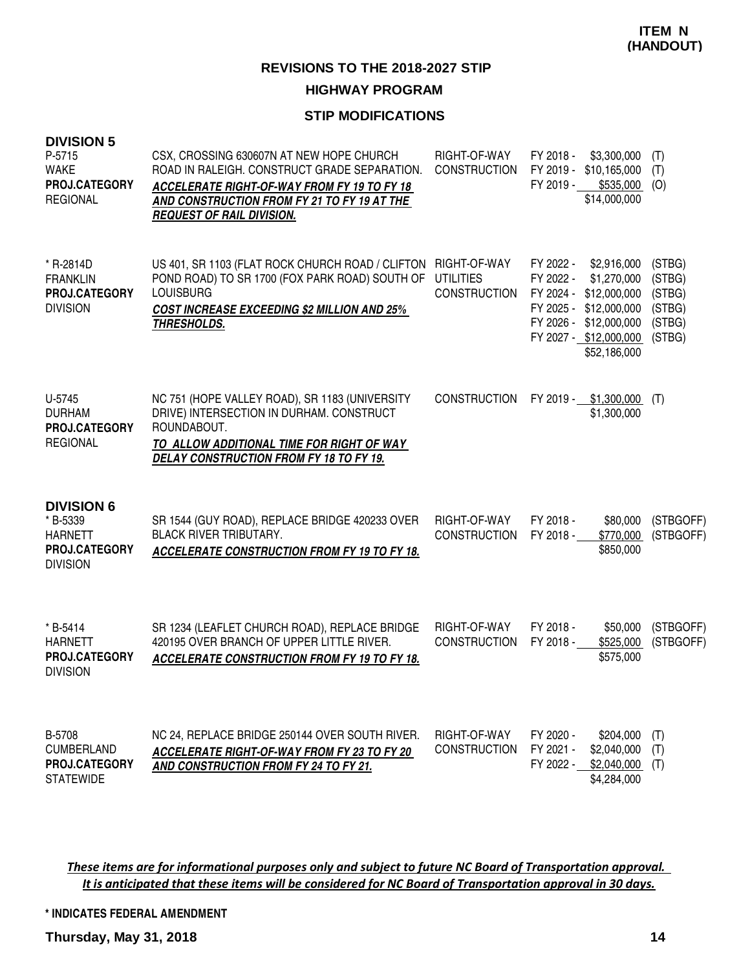# **STIP MODIFICATIONS**

| <b>DIVISION 5</b><br>P-5715<br><b>WAKE</b><br><b>PROJ.CATEGORY</b><br><b>REGIONAL</b>      | CSX, CROSSING 630607N AT NEW HOPE CHURCH<br>ROAD IN RALEIGH. CONSTRUCT GRADE SEPARATION.<br><b>ACCELERATE RIGHT-OF-WAY FROM FY 19 TO FY 18</b><br>AND CONSTRUCTION FROM FY 21 TO FY 19 AT THE<br><b>REQUEST OF RAIL DIVISION.</b> | RIGHT-OF-WAY<br><b>CONSTRUCTION</b>                     | FY 2018 -<br>\$3,300,000<br>FY 2019 -<br>\$10,165,000<br>FY 2019 -<br>$$535,000$ (O)<br>\$14,000,000                                                                            | (T)<br>(T)                                               |
|--------------------------------------------------------------------------------------------|-----------------------------------------------------------------------------------------------------------------------------------------------------------------------------------------------------------------------------------|---------------------------------------------------------|---------------------------------------------------------------------------------------------------------------------------------------------------------------------------------|----------------------------------------------------------|
| * R-2814D<br><b>FRANKLIN</b><br><b>PROJ.CATEGORY</b><br><b>DIVISION</b>                    | US 401, SR 1103 (FLAT ROCK CHURCH ROAD / CLIFTON<br>POND ROAD) TO SR 1700 (FOX PARK ROAD) SOUTH OF<br><b>LOUISBURG</b><br><b>COST INCREASE EXCEEDING \$2 MILLION AND 25%</b><br><u>THRESHOLDS.</u>                                | RIGHT-OF-WAY<br><b>UTILITIES</b><br><b>CONSTRUCTION</b> | FY 2022 -<br>\$2,916,000<br>\$1,270,000<br>FY 2022 -<br>FY 2024 -<br>\$12,000,000<br>FY 2025 - \$12,000,000<br>FY 2026 - \$12,000,000<br>FY 2027 - \$12,000,000<br>\$52,186,000 | (STBG)<br>(STBG)<br>(STBG)<br>(STBG)<br>(STBG)<br>(STBG) |
| U-5745<br><b>DURHAM</b><br>PROJ.CATEGORY<br><b>REGIONAL</b>                                | NC 751 (HOPE VALLEY ROAD), SR 1183 (UNIVERSITY<br>DRIVE) INTERSECTION IN DURHAM. CONSTRUCT<br>ROUNDABOUT.<br>TO ALLOW ADDITIONAL TIME FOR RIGHT OF WAY<br>DELAY CONSTRUCTION FROM FY 18 TO FY 19.                                 | <b>CONSTRUCTION</b>                                     | FY 2019 - \$1,300,000<br>\$1,300,000                                                                                                                                            | (T)                                                      |
| <b>DIVISION 6</b><br>* B-5339<br><b>HARNETT</b><br><b>PROJ.CATEGORY</b><br><b>DIVISION</b> | SR 1544 (GUY ROAD), REPLACE BRIDGE 420233 OVER<br><b>BLACK RIVER TRIBUTARY.</b><br>ACCELERATE CONSTRUCTION FROM FY 19 TO FY 18.                                                                                                   | RIGHT-OF-WAY<br><b>CONSTRUCTION</b>                     | FY 2018 -<br>\$80,000<br>FY 2018 -<br>\$770,000<br>\$850,000                                                                                                                    | (STBGOFF)<br>(STBGOFF)                                   |
| * B-5414<br><b>HARNETT</b><br>PROJ.CATEGORY<br><b>DIVISION</b>                             | SR 1234 (LEAFLET CHURCH ROAD), REPLACE BRIDGE<br>420195 OVER BRANCH OF UPPER LITTLE RIVER.<br><b>ACCELERATE CONSTRUCTION FROM FY 19 TO FY 18.</b>                                                                                 | RIGHT-OF-WAY<br><b>CONSTRUCTION</b>                     | FY 2018 -<br>\$50,000<br>FY 2018 -<br>\$525,000<br>\$575,000                                                                                                                    | (STBGOFF)<br>(STBGOFF)                                   |
| B-5708<br><b>CUMBERLAND</b><br><b>PROJ.CATEGORY</b><br><b>STATEWIDE</b>                    | NC 24, REPLACE BRIDGE 250144 OVER SOUTH RIVER.<br><b>ACCELERATE RIGHT-OF-WAY FROM FY 23 TO FY 20</b><br>AND CONSTRUCTION FROM FY 24 TO FY 21.                                                                                     | RIGHT-OF-WAY<br><b>CONSTRUCTION</b>                     | FY 2020 -<br>\$204,000<br>FY 2021 -<br>\$2,040,000<br>FY 2022 -<br>$$2,040,000$ (T)<br>\$4,284,000                                                                              | (T)<br>(T)                                               |

These items are for informational purposes only and subject to future NC Board of Transportation approval. It is anticipated that these items will be considered for NC Board of Transportation approval in 30 days.

**\* INDICATES FEDERAL AMENDMENT**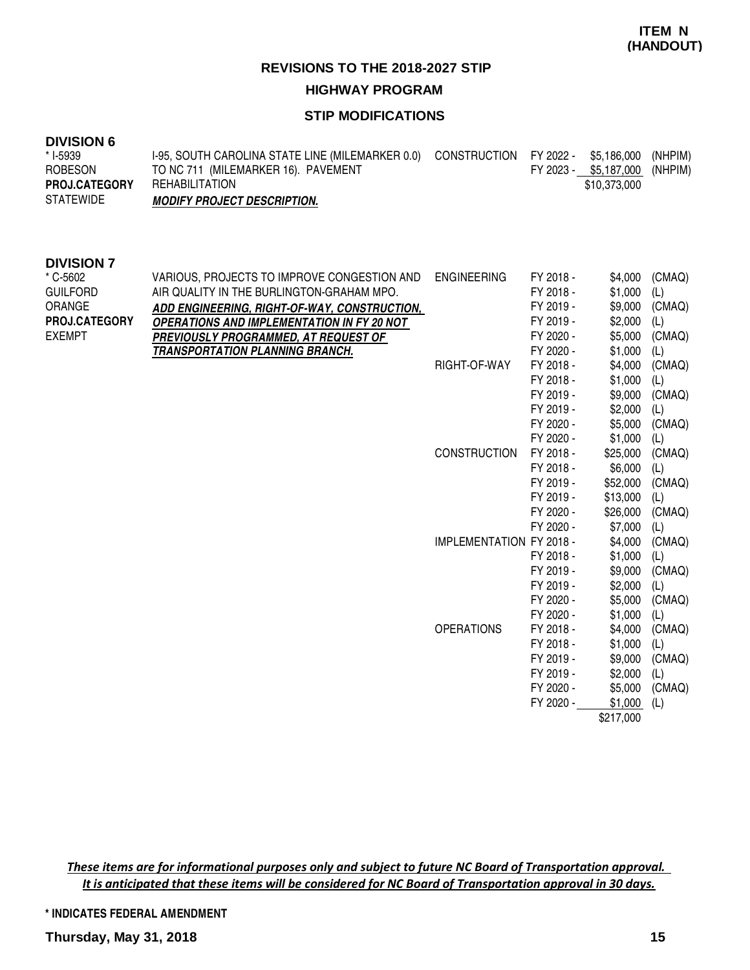# **HIGHWAY PROGRAM**

# **STIP MODIFICATIONS**

| UIVIOIUN U           |                                                  |                                    |                               |         |
|----------------------|--------------------------------------------------|------------------------------------|-------------------------------|---------|
| * I-5939             | 1-95, SOUTH CAROLINA STATE LINE (MILEMARKER 0.0) | CONSTRUCTION FY 2022 - \$5,186,000 |                               | (NHPIM) |
| ROBESON              | TO NC 711 (MILEMARKER 16). PAVEMENT              |                                    | FY 2023 - \$5,187,000 (NHPIM) |         |
| <b>PROJ.CATEGORY</b> | REHABILITATION                                   |                                    | \$10,373,000                  |         |
| <b>STATEWIDE</b>     | <b>MODIFY PROJECT DESCRIPTION.</b>               |                                    |                               |         |
|                      |                                                  |                                    |                               |         |
|                      |                                                  |                                    |                               |         |

#### **DIVISION 7**

| * C-5602<br><b>GUILFORD</b><br>ORANGE<br><b>PROJ.CATEGORY</b><br><b>EXEMPT</b> | VARIOUS, PROJECTS TO IMPROVE CONGESTION AND<br>AIR QUALITY IN THE BURLINGTON-GRAHAM MPO.<br>ADD ENGINEERING, RIGHT-OF-WAY, CONSTRUCTION,<br><b>OPERATIONS AND IMPLEMENTATION IN FY 20 NOT</b><br><b>PREVIOUSLY PROGRAMMED, AT REQUEST OF</b><br><b>TRANSPORTATION PLANNING BRANCH.</b> | <b>ENGINEERING</b>              | FY 2018 -<br>FY 2018 -<br>FY 2019 -<br>FY 2019 -<br>FY 2020 -<br>FY 2020 - | \$4,000<br>\$1,000<br>\$9,000<br>\$2,000<br>\$5,000<br>\$1,000 | (CMAQ)<br>(L)<br>(CMAQ)<br>(L)<br>(CMAQ)<br>(L) |
|--------------------------------------------------------------------------------|----------------------------------------------------------------------------------------------------------------------------------------------------------------------------------------------------------------------------------------------------------------------------------------|---------------------------------|----------------------------------------------------------------------------|----------------------------------------------------------------|-------------------------------------------------|
|                                                                                |                                                                                                                                                                                                                                                                                        | RIGHT-OF-WAY                    | FY 2018 -                                                                  | \$4,000                                                        | (CMAQ)                                          |
|                                                                                |                                                                                                                                                                                                                                                                                        |                                 | FY 2018 -                                                                  | \$1,000                                                        | (L)                                             |
|                                                                                |                                                                                                                                                                                                                                                                                        |                                 | FY 2019 -                                                                  | \$9,000                                                        | (CMAQ)                                          |
|                                                                                |                                                                                                                                                                                                                                                                                        |                                 | FY 2019 -                                                                  | \$2,000                                                        | (L)                                             |
|                                                                                |                                                                                                                                                                                                                                                                                        |                                 | FY 2020 -                                                                  | \$5,000                                                        | (CMAQ)                                          |
|                                                                                |                                                                                                                                                                                                                                                                                        |                                 | FY 2020 -                                                                  | \$1,000                                                        | (L)                                             |
|                                                                                |                                                                                                                                                                                                                                                                                        | <b>CONSTRUCTION</b>             | FY 2018 -                                                                  | \$25,000                                                       | (CMAQ)                                          |
|                                                                                |                                                                                                                                                                                                                                                                                        |                                 | FY 2018 -                                                                  | \$6,000                                                        | (L)                                             |
|                                                                                |                                                                                                                                                                                                                                                                                        |                                 | FY 2019 -                                                                  | \$52,000                                                       | (CMAQ)                                          |
|                                                                                |                                                                                                                                                                                                                                                                                        |                                 | FY 2019 -                                                                  | \$13,000                                                       | (L)                                             |
|                                                                                |                                                                                                                                                                                                                                                                                        |                                 | FY 2020 -                                                                  | \$26,000                                                       | (CMAQ)                                          |
|                                                                                |                                                                                                                                                                                                                                                                                        |                                 | FY 2020 -                                                                  | \$7,000                                                        | (L)                                             |
|                                                                                |                                                                                                                                                                                                                                                                                        | <b>IMPLEMENTATION FY 2018 -</b> |                                                                            | \$4,000                                                        | (CMAQ)                                          |
|                                                                                |                                                                                                                                                                                                                                                                                        |                                 | FY 2018 -                                                                  | \$1,000                                                        | (L)                                             |
|                                                                                |                                                                                                                                                                                                                                                                                        |                                 | FY 2019 -                                                                  | \$9,000                                                        | (CMAQ)                                          |
|                                                                                |                                                                                                                                                                                                                                                                                        |                                 | FY 2019 -                                                                  | \$2,000                                                        | (L)                                             |
|                                                                                |                                                                                                                                                                                                                                                                                        |                                 | FY 2020 -                                                                  | \$5,000                                                        | (CMAQ)                                          |
|                                                                                |                                                                                                                                                                                                                                                                                        |                                 | FY 2020 -                                                                  | \$1,000                                                        | (L)                                             |
|                                                                                |                                                                                                                                                                                                                                                                                        | <b>OPERATIONS</b>               | FY 2018 -                                                                  | \$4,000                                                        | (CMAQ)                                          |
|                                                                                |                                                                                                                                                                                                                                                                                        |                                 | FY 2018 -                                                                  | \$1,000                                                        | (L)                                             |
|                                                                                |                                                                                                                                                                                                                                                                                        |                                 | FY 2019 -                                                                  | \$9,000                                                        | (CMAQ)                                          |
|                                                                                |                                                                                                                                                                                                                                                                                        |                                 | FY 2019 -                                                                  | \$2,000                                                        | (L)                                             |
|                                                                                |                                                                                                                                                                                                                                                                                        |                                 | FY 2020 -                                                                  | \$5,000                                                        | (CMAQ)                                          |
|                                                                                |                                                                                                                                                                                                                                                                                        |                                 | FY 2020 -                                                                  | \$1,000                                                        | (L)                                             |
|                                                                                |                                                                                                                                                                                                                                                                                        |                                 |                                                                            | \$217,000                                                      |                                                 |

These items are for informational purposes only and subject to future NC Board of Transportation approval. It is anticipated that these items will be considered for NC Board of Transportation approval in 30 days.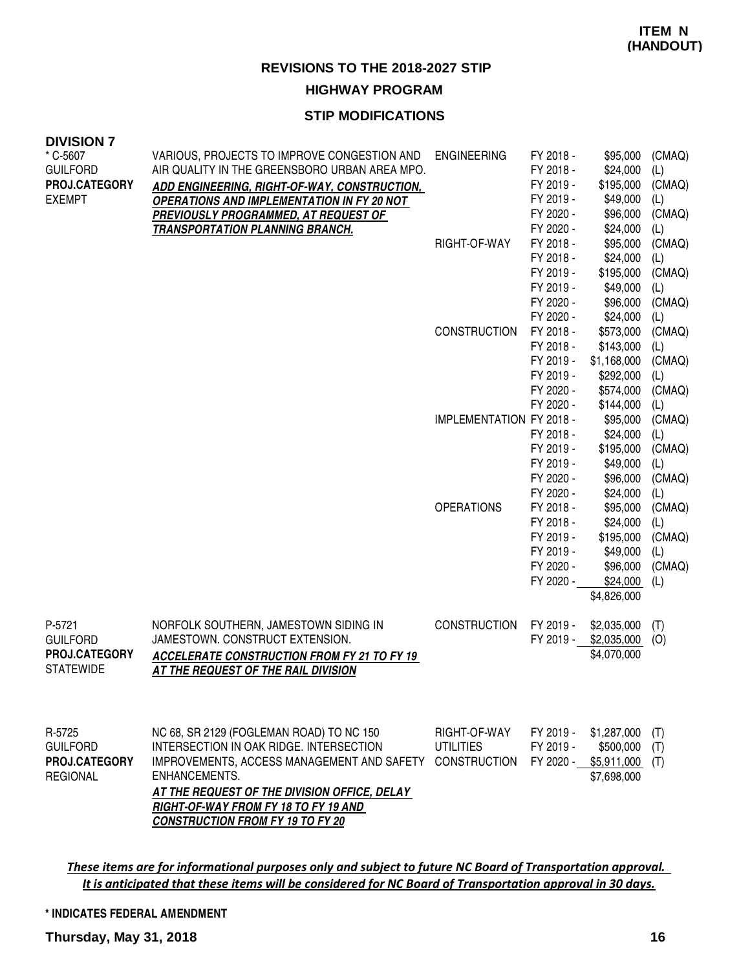#### **STIP MODIFICATIONS**

| <b>DIVISION 7</b><br>* C-5607<br><b>GUILFORD</b><br>PROJ.CATEGORY<br><b>EXEMPT</b> | VARIOUS, PROJECTS TO IMPROVE CONGESTION AND<br>AIR QUALITY IN THE GREENSBORO URBAN AREA MPO.<br><b>ADD ENGINEERING, RIGHT-OF-WAY, CONSTRUCTION,</b><br><b>OPERATIONS AND IMPLEMENTATION IN FY 20 NOT</b><br><b>PREVIOUSLY PROGRAMMED, AT REQUEST OF</b>                               | <b>ENGINEERING</b>                               | FY 2018 -<br>FY 2018 -<br>FY 2019 -<br>FY 2019 -<br>FY 2020 -                           | \$95,000<br>\$24,000<br>\$195,000<br>\$49,000<br>\$96,000                            | (CMAQ)<br>(L)<br>(CMAQ)<br>(L)<br>(CMAQ)               |
|------------------------------------------------------------------------------------|---------------------------------------------------------------------------------------------------------------------------------------------------------------------------------------------------------------------------------------------------------------------------------------|--------------------------------------------------|-----------------------------------------------------------------------------------------|--------------------------------------------------------------------------------------|--------------------------------------------------------|
|                                                                                    | <b>TRANSPORTATION PLANNING BRANCH.</b>                                                                                                                                                                                                                                                | RIGHT-OF-WAY                                     | FY 2020 -<br>FY 2018 -<br>FY 2018 -<br>FY 2019 -<br>FY 2019 -<br>FY 2020 -<br>FY 2020 - | \$24,000<br>\$95,000<br>\$24,000<br>\$195,000<br>\$49,000<br>\$96,000<br>\$24,000    | (L)<br>(CMAQ)<br>(L)<br>(CMAQ)<br>(L)<br>(CMAQ)<br>(L) |
|                                                                                    |                                                                                                                                                                                                                                                                                       | <b>CONSTRUCTION</b>                              | FY 2018 -<br>FY 2018 -<br>FY 2019 -<br>FY 2019 -<br>FY 2020 -<br>FY 2020 -              | \$573,000<br>\$143,000<br>\$1,168,000<br>\$292,000<br>\$574,000<br>\$144,000         | (CMAQ)<br>(L)<br>(CMAQ)<br>(L)<br>(CMAQ)<br>(L)        |
|                                                                                    |                                                                                                                                                                                                                                                                                       | <b>IMPLEMENTATION FY 2018 -</b>                  | FY 2018 -<br>FY 2019 -<br>FY 2019 -<br>FY 2020 -<br>FY 2020 -                           | \$95,000<br>\$24,000<br>\$195,000<br>\$49,000<br>\$96,000<br>\$24,000                | (CMAQ)<br>(L)<br>(CMAQ)<br>(L)<br>(CMAQ)<br>(L)        |
|                                                                                    |                                                                                                                                                                                                                                                                                       | <b>OPERATIONS</b>                                | FY 2018 -<br>FY 2018 -<br>FY 2019 -<br>FY 2019 -<br>FY 2020 -<br>FY 2020 -              | \$95,000<br>\$24,000<br>\$195,000<br>\$49,000<br>\$96,000<br>\$24,000<br>\$4,826,000 | (CMAQ)<br>(L)<br>(CMAQ)<br>(L)<br>(CMAQ)<br>(L)        |
| P-5721<br><b>GUILFORD</b><br>PROJ.CATEGORY<br><b>STATEWIDE</b>                     | NORFOLK SOUTHERN, JAMESTOWN SIDING IN<br>JAMESTOWN. CONSTRUCT EXTENSION.<br><b>ACCELERATE CONSTRUCTION FROM FY 21 TO FY 19</b><br>AT THE REQUEST OF THE RAIL DIVISION                                                                                                                 | <b>CONSTRUCTION</b>                              | FY 2019 -<br>FY 2019 -                                                                  | \$2,035,000<br>\$2,035,000<br>\$4,070,000                                            | (T)<br>(O)                                             |
| R-5725<br><b>GUILFORD</b><br>PROJ.CATEGORY<br><b>REGIONAL</b>                      | NC 68, SR 2129 (FOGLEMAN ROAD) TO NC 150<br>INTERSECTION IN OAK RIDGE, INTERSECTION<br>IMPROVEMENTS, ACCESS MANAGEMENT AND SAFETY<br>ENHANCEMENTS.<br>AT THE REQUEST OF THE DIVISION OFFICE, DELAY<br>RIGHT-OF-WAY FROM FY 18 TO FY 19 AND<br><b>CONSTRUCTION FROM FY 19 TO FY 20</b> | RIGHT-OF-WAY<br>UTILITIES<br><b>CONSTRUCTION</b> | FY 2019 -<br>FY 2019 -<br>FY 2020 -                                                     | \$1,287,000<br>\$500,000<br>\$5,911,000<br>\$7,698,000                               | (T)<br>(T)<br>(T)                                      |

These items are for informational purposes only and subject to future NC Board of Transportation approval. It is anticipated that these items will be considered for NC Board of Transportation approval in 30 days.

**\* INDICATES FEDERAL AMENDMENT**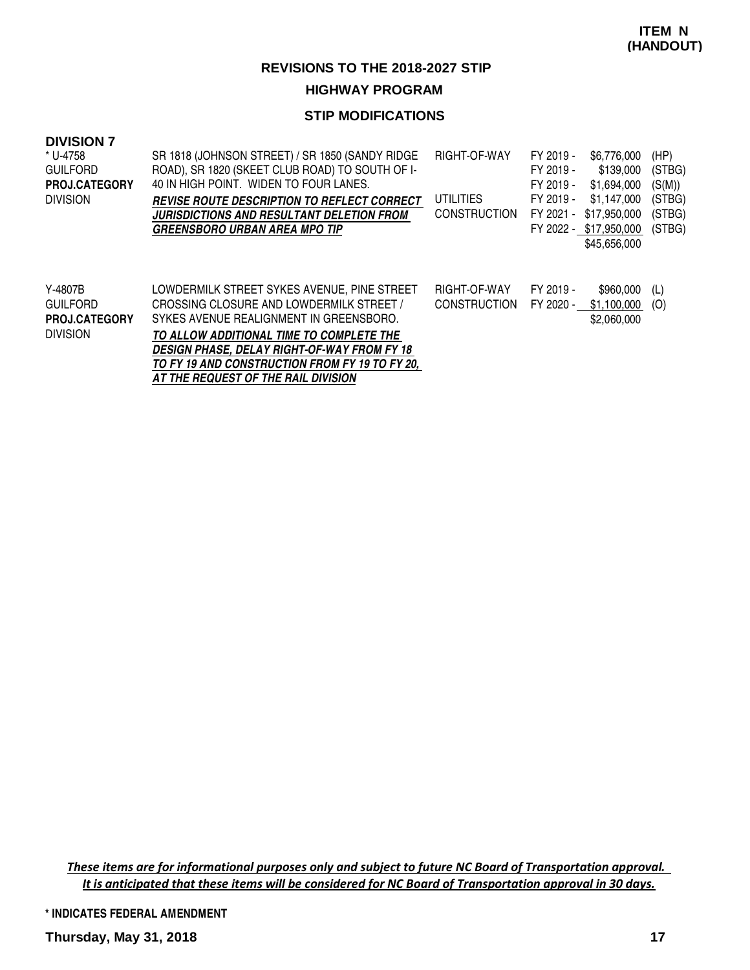# **HIGHWAY PROGRAM**

# **STIP MODIFICATIONS**

| <b>DIVISION 7</b><br>* U-4758<br><b>GUILFORD</b><br><b>PROJ.CATEGORY</b><br><b>DIVISION</b> | SR 1818 (JOHNSON STREET) / SR 1850 (SANDY RIDGE)<br>ROAD), SR 1820 (SKEET CLUB ROAD) TO SOUTH OF I-<br>40 IN HIGH POINT. WIDEN TO FOUR LANES.<br><i>REVISE ROUTE DESCRIPTION TO REFLECT CORRECT</i><br><b>JURISDICTIONS AND RESULTANT DELETION FROM</b><br><b>GREENSBORO URBAN AREA MPO TIP</b>                                      | RIGHT-OF-WAY<br><b>UTILITIES</b><br><b>CONSTRUCTION</b> | FY 2019 -<br>FY 2019 -<br>FY 2019 -<br>FY 2019 -<br>FY 2021 - | \$6,776,000<br>\$139,000<br>\$1,694,000<br>\$1.147.000<br>\$17,950,000<br>FY 2022 - \$17,950,000<br>\$45,656,000 | (HP)<br>(STBG)<br>(S(M))<br>(STBG)<br>(STBG)<br>(STBG) |
|---------------------------------------------------------------------------------------------|--------------------------------------------------------------------------------------------------------------------------------------------------------------------------------------------------------------------------------------------------------------------------------------------------------------------------------------|---------------------------------------------------------|---------------------------------------------------------------|------------------------------------------------------------------------------------------------------------------|--------------------------------------------------------|
| Y-4807B<br><b>GUILFORD</b><br><b>PROJ.CATEGORY</b><br><b>DIVISION</b>                       | LOWDERMILK STREET SYKES AVENUE, PINE STREET<br>CROSSING CLOSURE AND LOWDERMILK STREET /<br>SYKES AVENUE REALIGNMENT IN GREENSBORO.<br>TO ALLOW ADDITIONAL TIME TO COMPLETE THE<br><b>DESIGN PHASE. DELAY RIGHT-OF-WAY FROM FY 18</b><br>TO FY 19 AND CONSTRUCTION FROM FY 19 TO FY 20,<br><b>AT THE REQUEST OF THE RAIL DIVISION</b> | RIGHT-OF-WAY<br><b>CONSTRUCTION</b>                     | FY 2019 -<br>FY 2020 -                                        | \$960,000<br>\$1.100.000<br>\$2,060,000                                                                          | (L)<br>(O)                                             |

These items are for informational purposes only and subject to future NC Board of Transportation approval. It is anticipated that these items will be considered for NC Board of Transportation approval in 30 days.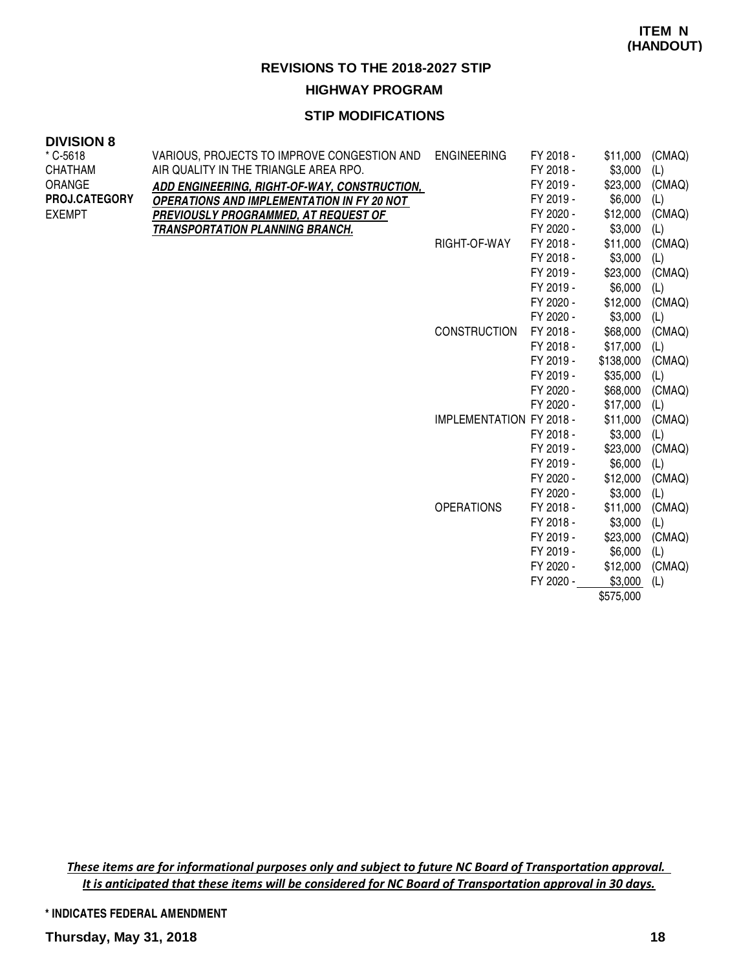# **HIGHWAY PROGRAM**

# **STIP MODIFICATIONS**

#### **DIVISION 8**

| * C-5618             | VARIOUS, PROJECTS TO IMPROVE CONGESTION AND       | <b>ENGINEERING</b>              | FY 2018 - | \$11,000  | (CMAQ) |
|----------------------|---------------------------------------------------|---------------------------------|-----------|-----------|--------|
| CHATHAM              | AIR QUALITY IN THE TRIANGLE AREA RPO.             |                                 | FY 2018 - | \$3,000   | (L)    |
| ORANGE               | ADD ENGINEERING, RIGHT-OF-WAY, CONSTRUCTION,      |                                 | FY 2019 - | \$23,000  | (CMAQ) |
| <b>PROJ.CATEGORY</b> | <b>OPERATIONS AND IMPLEMENTATION IN FY 20 NOT</b> |                                 | FY 2019 - | \$6,000   | (L)    |
| EXEMPT               | PREVIOUSLY PROGRAMMED, AT REQUEST OF              |                                 | FY 2020 - | \$12,000  | (CMAQ) |
|                      | <b>TRANSPORTATION PLANNING BRANCH.</b>            |                                 | FY 2020 - | \$3,000   | (L)    |
|                      |                                                   | RIGHT-OF-WAY                    | FY 2018 - | \$11,000  | (CMAQ) |
|                      |                                                   |                                 | FY 2018 - | \$3,000   | (L)    |
|                      |                                                   |                                 | FY 2019 - | \$23,000  | (CMAQ) |
|                      |                                                   |                                 | FY 2019 - | \$6,000   | (L)    |
|                      |                                                   |                                 | FY 2020 - | \$12,000  | (CMAQ) |
|                      |                                                   |                                 | FY 2020 - | \$3,000   | (L)    |
|                      |                                                   | <b>CONSTRUCTION</b>             | FY 2018 - | \$68,000  | (CMAQ) |
|                      |                                                   |                                 | FY 2018 - | \$17,000  | (L)    |
|                      |                                                   |                                 | FY 2019 - | \$138,000 | (CMAQ) |
|                      |                                                   |                                 | FY 2019 - | \$35,000  | (L)    |
|                      |                                                   |                                 | FY 2020 - | \$68,000  | (CMAQ) |
|                      |                                                   |                                 | FY 2020 - | \$17,000  | (L)    |
|                      |                                                   | <b>IMPLEMENTATION FY 2018 -</b> |           | \$11,000  | (CMAQ) |
|                      |                                                   |                                 | FY 2018 - | \$3,000   | (L)    |
|                      |                                                   |                                 | FY 2019 - | \$23,000  | (CMAQ) |
|                      |                                                   |                                 | FY 2019 - | \$6,000   | (L)    |
|                      |                                                   |                                 | FY 2020 - | \$12,000  | (CMAQ) |
|                      |                                                   |                                 | FY 2020 - | \$3,000   | (L)    |
|                      |                                                   | <b>OPERATIONS</b>               | FY 2018 - | \$11,000  | (CMAQ) |
|                      |                                                   |                                 | FY 2018 - | \$3,000   | (L)    |
|                      |                                                   |                                 | FY 2019 - | \$23,000  | (CMAQ) |
|                      |                                                   |                                 | FY 2019 - | \$6,000   | (L)    |
|                      |                                                   |                                 | FY 2020 - | \$12,000  | (CMAQ) |
|                      |                                                   |                                 | FY 2020 - | \$3,000   | (L)    |
|                      |                                                   |                                 |           | \$575,000 |        |

These items are for informational purposes only and subject to future NC Board of Transportation approval. It is anticipated that these items will be considered for NC Board of Transportation approval in 30 days.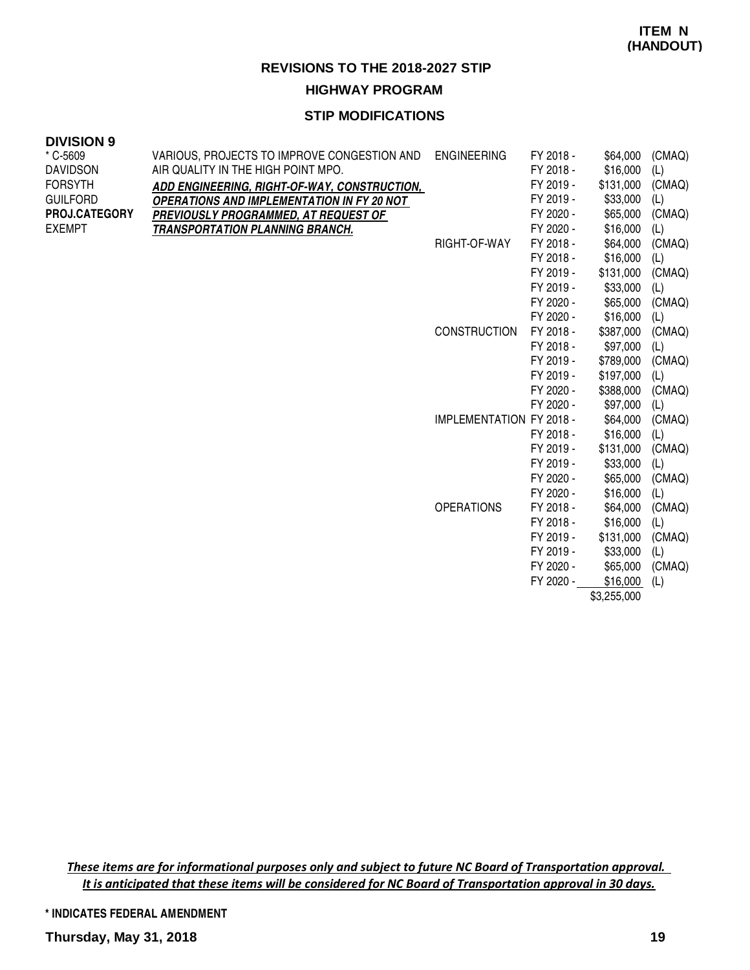**HIGHWAY PROGRAM**

# **STIP MODIFICATIONS**

#### **DIVISION 9**

| * C-5609             | VARIOUS, PROJECTS TO IMPROVE CONGESTION AND       | <b>ENGINEERING</b>              | FY 2018 - | \$64,000    | (CMAQ) |
|----------------------|---------------------------------------------------|---------------------------------|-----------|-------------|--------|
| <b>DAVIDSON</b>      | AIR QUALITY IN THE HIGH POINT MPO.                |                                 | FY 2018 - | \$16,000    | (L)    |
| <b>FORSYTH</b>       | ADD ENGINEERING, RIGHT-OF-WAY, CONSTRUCTION,      |                                 | FY 2019 - | \$131,000   | (CMAQ) |
| <b>GUILFORD</b>      | <b>OPERATIONS AND IMPLEMENTATION IN FY 20 NOT</b> |                                 | FY 2019 - | \$33,000    | (L)    |
| <b>PROJ.CATEGORY</b> | PREVIOUSLY PROGRAMMED, AT REQUEST OF              |                                 | FY 2020 - | \$65,000    | (CMAQ) |
| <b>EXEMPT</b>        | <b>TRANSPORTATION PLANNING BRANCH.</b>            |                                 | FY 2020 - | \$16,000    | (L)    |
|                      |                                                   | RIGHT-OF-WAY                    | FY 2018 - | \$64,000    | (CMAQ) |
|                      |                                                   |                                 | FY 2018 - | \$16,000    | (L)    |
|                      |                                                   |                                 | FY 2019 - | \$131,000   | (CMAQ) |
|                      |                                                   |                                 | FY 2019 - | \$33,000    | (L)    |
|                      |                                                   |                                 | FY 2020 - | \$65,000    | (CMAQ) |
|                      |                                                   |                                 | FY 2020 - | \$16,000    | (L)    |
|                      |                                                   | <b>CONSTRUCTION</b>             | FY 2018 - | \$387,000   | (CMAQ) |
|                      |                                                   |                                 | FY 2018 - | \$97,000    | (L)    |
|                      |                                                   |                                 | FY 2019 - | \$789,000   | (CMAQ) |
|                      |                                                   |                                 | FY 2019 - | \$197,000   | (L)    |
|                      |                                                   |                                 | FY 2020 - | \$388,000   | (CMAQ) |
|                      |                                                   |                                 | FY 2020 - | \$97,000    | (L)    |
|                      |                                                   | <b>IMPLEMENTATION FY 2018 -</b> |           | \$64,000    | (CMAQ) |
|                      |                                                   |                                 | FY 2018 - | \$16,000    | (L)    |
|                      |                                                   |                                 | FY 2019 - | \$131,000   | (CMAQ) |
|                      |                                                   |                                 | FY 2019 - | \$33,000    | (L)    |
|                      |                                                   |                                 | FY 2020 - | \$65,000    | (CMAQ) |
|                      |                                                   |                                 | FY 2020 - | \$16,000    | (L)    |
|                      |                                                   | <b>OPERATIONS</b>               | FY 2018 - | \$64,000    | (CMAQ) |
|                      |                                                   |                                 | FY 2018 - | \$16,000    | (L)    |
|                      |                                                   |                                 | FY 2019 - | \$131,000   | (CMAQ) |
|                      |                                                   |                                 | FY 2019 - | \$33,000    | (L)    |
|                      |                                                   |                                 | FY 2020 - | \$65,000    | (CMAQ) |
|                      |                                                   |                                 | FY 2020 - | \$16,000    | (L)    |
|                      |                                                   |                                 |           | \$3,255,000 |        |

These items are for informational purposes only and subject to future NC Board of Transportation approval. It is anticipated that these items will be considered for NC Board of Transportation approval in 30 days.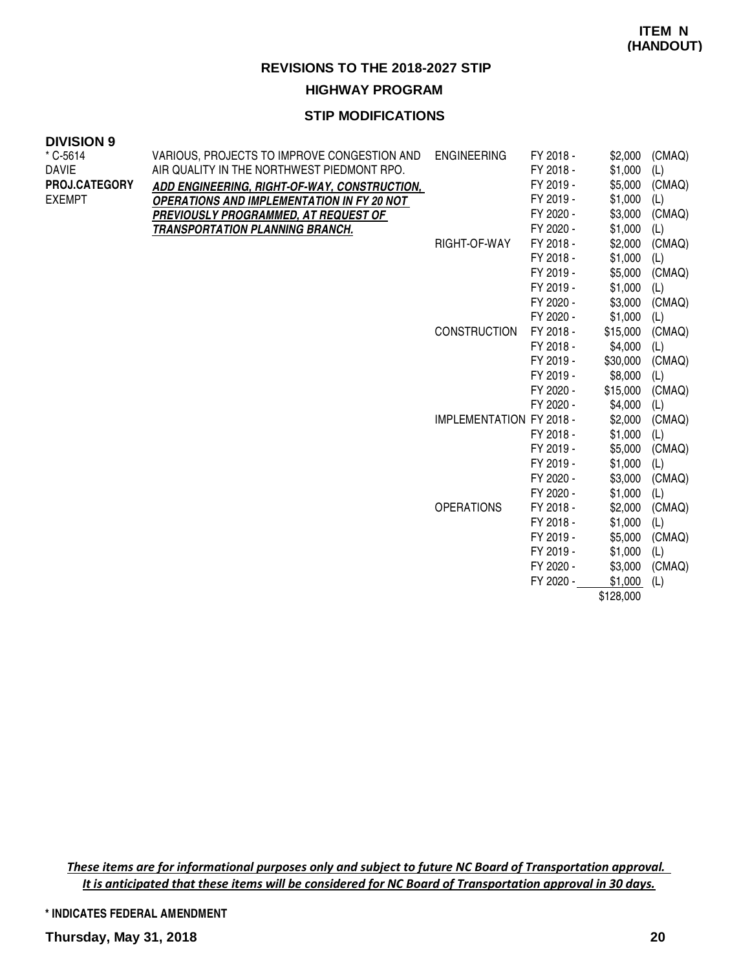# **STIP MODIFICATIONS**

#### **DIVISION 9**

| $*$ C-5614    | VARIOUS, PROJECTS TO IMPROVE CONGESTION AND       | <b>ENGINEERING</b>              | FY 2018 - | \$2,000   | (CMAQ) |
|---------------|---------------------------------------------------|---------------------------------|-----------|-----------|--------|
| <b>DAVIE</b>  | AIR QUALITY IN THE NORTHWEST PIEDMONT RPO.        |                                 | FY 2018 - | \$1,000   | (L)    |
| PROJ.CATEGORY | ADD ENGINEERING, RIGHT-OF-WAY, CONSTRUCTION,      |                                 | FY 2019 - | \$5,000   | (CMAQ) |
| <b>EXEMPT</b> | <b>OPERATIONS AND IMPLEMENTATION IN FY 20 NOT</b> |                                 | FY 2019 - | \$1,000   | (L)    |
|               | PREVIOUSLY PROGRAMMED, AT REQUEST OF              |                                 | FY 2020 - | \$3,000   | (CMAQ) |
|               | <b>TRANSPORTATION PLANNING BRANCH.</b>            |                                 | FY 2020 - | \$1,000   | (L)    |
|               |                                                   | RIGHT-OF-WAY                    | FY 2018 - | \$2,000   | (CMAQ) |
|               |                                                   |                                 | FY 2018 - | \$1,000   | (L)    |
|               |                                                   |                                 | FY 2019 - | \$5,000   | (CMAQ) |
|               |                                                   |                                 | FY 2019 - | \$1,000   | (L)    |
|               |                                                   |                                 | FY 2020 - | \$3,000   | (CMAQ) |
|               |                                                   |                                 | FY 2020 - | \$1,000   | (L)    |
|               |                                                   | <b>CONSTRUCTION</b>             | FY 2018 - | \$15,000  | (CMAQ) |
|               |                                                   |                                 | FY 2018 - | \$4,000   | (L)    |
|               |                                                   |                                 | FY 2019 - | \$30,000  | (CMAQ) |
|               |                                                   |                                 | FY 2019 - | \$8,000   | (L)    |
|               |                                                   |                                 | FY 2020 - | \$15,000  | (CMAQ) |
|               |                                                   |                                 | FY 2020 - | \$4,000   | (L)    |
|               |                                                   | <b>IMPLEMENTATION FY 2018 -</b> |           | \$2,000   | (CMAQ) |
|               |                                                   |                                 | FY 2018 - | \$1,000   | (L)    |
|               |                                                   |                                 | FY 2019 - | \$5,000   | (CMAQ) |
|               |                                                   |                                 | FY 2019 - | \$1,000   | (L)    |
|               |                                                   |                                 | FY 2020 - | \$3,000   | (CMAQ) |
|               |                                                   |                                 | FY 2020 - | \$1,000   | (L)    |
|               |                                                   | <b>OPERATIONS</b>               | FY 2018 - | \$2,000   | (CMAQ) |
|               |                                                   |                                 | FY 2018 - | \$1,000   | (L)    |
|               |                                                   |                                 | FY 2019 - | \$5,000   | (CMAQ) |
|               |                                                   |                                 | FY 2019 - | \$1,000   | (L)    |
|               |                                                   |                                 | FY 2020 - | \$3,000   | (CMAQ) |
|               |                                                   |                                 | FY 2020 - | \$1,000   | (L)    |
|               |                                                   |                                 |           | \$128,000 |        |

These items are for informational purposes only and subject to future NC Board of Transportation approval. It is anticipated that these items will be considered for NC Board of Transportation approval in 30 days.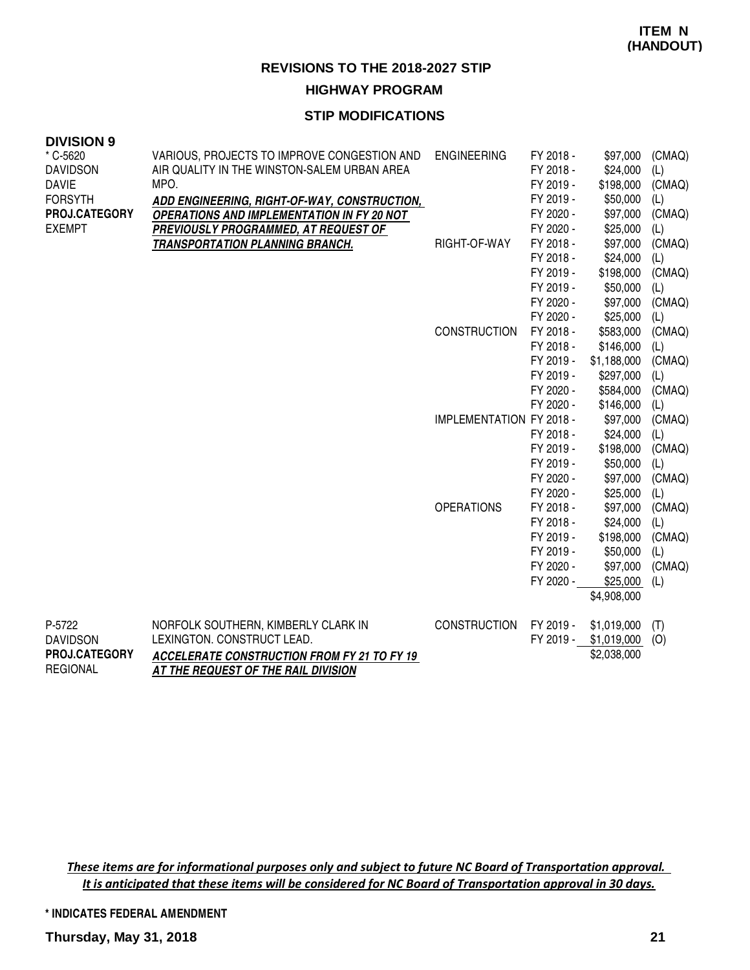# **HIGHWAY PROGRAM**

# **STIP MODIFICATIONS**

| <b>DIVISION 9</b> |                                                    |                          |                        |                      |               |
|-------------------|----------------------------------------------------|--------------------------|------------------------|----------------------|---------------|
| * C-5620          | VARIOUS, PROJECTS TO IMPROVE CONGESTION AND        | <b>ENGINEERING</b>       | FY 2018 -              | \$97,000             | (CMAQ)        |
| <b>DAVIDSON</b>   | AIR QUALITY IN THE WINSTON-SALEM URBAN AREA        |                          | FY 2018 -              | \$24,000             | (L)           |
| <b>DAVIE</b>      | MPO.                                               |                          | FY 2019 -              | \$198,000            | (CMAQ)        |
| <b>FORSYTH</b>    | ADD ENGINEERING, RIGHT-OF-WAY, CONSTRUCTION,       |                          | FY 2019 -              | \$50,000             | (L)           |
| PROJ.CATEGORY     | <b>OPERATIONS AND IMPLEMENTATION IN FY 20 NOT</b>  |                          | FY 2020 -              | \$97,000             | (CMAQ)        |
| <b>EXEMPT</b>     | PREVIOUSLY PROGRAMMED, AT REQUEST OF               |                          | FY 2020 -              | \$25,000             | (L)           |
|                   | <b>TRANSPORTATION PLANNING BRANCH.</b>             | RIGHT-OF-WAY             | FY 2018 -              | \$97,000             | (CMAQ)        |
|                   |                                                    |                          | FY 2018 -              | \$24,000             | (L)           |
|                   |                                                    |                          | FY 2019 -              | \$198,000            | (CMAQ)        |
|                   |                                                    |                          | FY 2019 -              | \$50,000             | (L)           |
|                   |                                                    |                          | FY 2020 -              | \$97,000             | (CMAQ)        |
|                   |                                                    |                          | FY 2020 -              | \$25,000             | (L)           |
|                   |                                                    | <b>CONSTRUCTION</b>      | FY 2018 -              | \$583,000            | (CMAQ)        |
|                   |                                                    |                          | FY 2018 -              | \$146,000            | (L)           |
|                   |                                                    |                          | FY 2019 -              | \$1,188,000          | (CMAQ)        |
|                   |                                                    |                          | FY 2019 -              | \$297,000            | (L)           |
|                   |                                                    |                          | FY 2020 -              | \$584,000            | (CMAQ)        |
|                   |                                                    |                          | FY 2020 -              | \$146,000            | (L)           |
|                   |                                                    | IMPLEMENTATION FY 2018 - |                        | \$97,000             | (CMAQ)        |
|                   |                                                    |                          | FY 2018 -              | \$24,000             | (L)           |
|                   |                                                    |                          | FY 2019 -              | \$198,000            | (CMAQ)        |
|                   |                                                    |                          | FY 2019 -              | \$50,000             | (L)           |
|                   |                                                    |                          | FY 2020 -<br>FY 2020 - | \$97,000<br>\$25,000 | (CMAQ)<br>(L) |
|                   |                                                    | <b>OPERATIONS</b>        | FY 2018 -              | \$97,000             | (CMAQ)        |
|                   |                                                    |                          | FY 2018 -              | \$24,000             | (L)           |
|                   |                                                    |                          | FY 2019 -              | \$198,000            | (CMAQ)        |
|                   |                                                    |                          | FY 2019 -              | \$50,000             | (L)           |
|                   |                                                    |                          | FY 2020 -              | \$97,000             | (CMAQ)        |
|                   |                                                    |                          | FY 2020 -              | \$25,000             | (L)           |
|                   |                                                    |                          |                        | \$4,908,000          |               |
| P-5722            | NORFOLK SOUTHERN, KIMBERLY CLARK IN                | <b>CONSTRUCTION</b>      | FY 2019 -              | \$1,019,000          | (T)           |
| <b>DAVIDSON</b>   | LEXINGTON. CONSTRUCT LEAD.                         |                          | FY 2019 -              | \$1,019,000          | (O)           |
| PROJ.CATEGORY     | <b>ACCELERATE CONSTRUCTION FROM FY 21 TO FY 19</b> |                          |                        | \$2,038,000          |               |
| <b>REGIONAL</b>   | AT THE REQUEST OF THE RAIL DIVISION                |                          |                        |                      |               |

These items are for informational purposes only and subject to future NC Board of Transportation approval. It is anticipated that these items will be considered for NC Board of Transportation approval in 30 days.

**\* INDICATES FEDERAL AMENDMENT**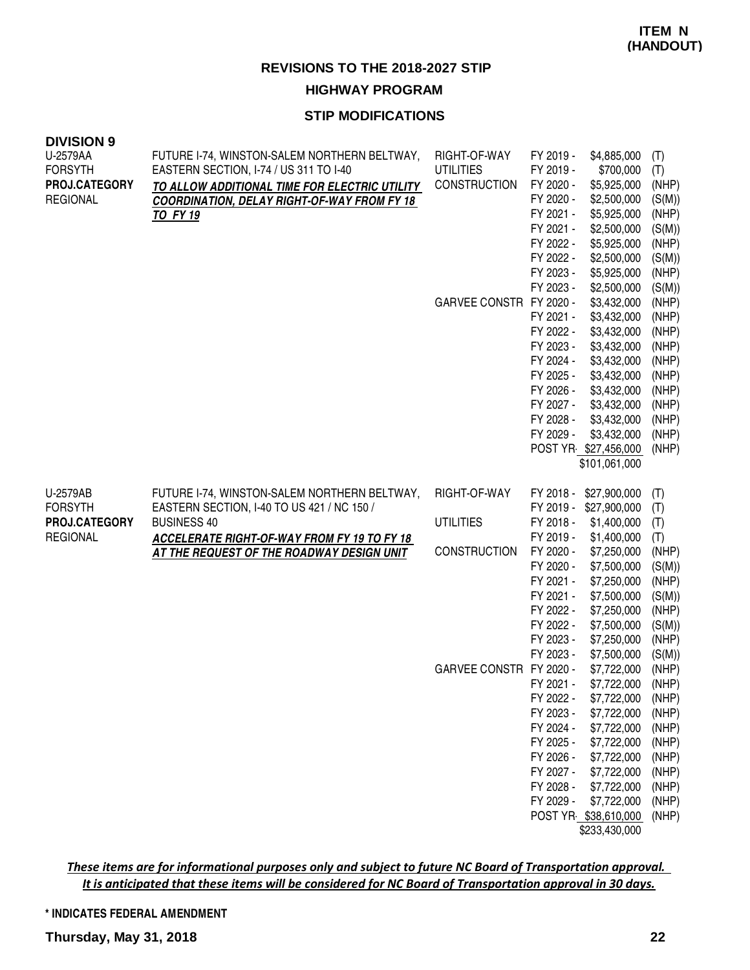#### **STIP MODIFICATIONS**

| <b>DIVISION 9</b> |                                                    |                         |                        |                                     |                |
|-------------------|----------------------------------------------------|-------------------------|------------------------|-------------------------------------|----------------|
| U-2579AA          | FUTURE I-74, WINSTON-SALEM NORTHERN BELTWAY,       | RIGHT-OF-WAY            | FY 2019 -              | \$4,885,000                         | (T)            |
| <b>FORSYTH</b>    | EASTERN SECTION, I-74 / US 311 TO I-40             | <b>UTILITIES</b>        | FY 2019 -              | \$700,000                           | (T)            |
| PROJ.CATEGORY     | TO ALLOW ADDITIONAL TIME FOR ELECTRIC UTILITY      | <b>CONSTRUCTION</b>     | FY 2020 -              | \$5,925,000                         | (NHP)          |
| <b>REGIONAL</b>   | <b>COORDINATION, DELAY RIGHT-OF-WAY FROM FY 18</b> |                         | FY 2020 -              | \$2,500,000                         | (S(M))         |
|                   | TO FY 19                                           |                         | FY 2021 -              | \$5,925,000                         | (NHP)          |
|                   |                                                    |                         | FY 2021 -              | \$2,500,000                         | (S(M))         |
|                   |                                                    |                         | FY 2022 -              | \$5,925,000                         | (NHP)          |
|                   |                                                    |                         | FY 2022 -              | \$2,500,000                         | (S(M))         |
|                   |                                                    |                         | FY 2023 -              | \$5,925,000                         | (NHP)          |
|                   |                                                    |                         | FY 2023 -              | \$2,500,000                         | (S(M))         |
|                   |                                                    | GARVEE CONSTR FY 2020 - |                        | \$3,432,000                         | (NHP)          |
|                   |                                                    |                         | FY 2021 -              | \$3,432,000                         | (NHP)          |
|                   |                                                    |                         | FY 2022 -              | \$3,432,000                         | (NHP)          |
|                   |                                                    |                         | FY 2023 -              | \$3,432,000                         | (NHP)          |
|                   |                                                    |                         | FY 2024 -              | \$3,432,000                         | (NHP)          |
|                   |                                                    |                         | FY 2025 -              | \$3,432,000                         | (NHP)          |
|                   |                                                    |                         | FY 2026 -              | \$3,432,000                         | (NHP)          |
|                   |                                                    |                         | FY 2027 -              | \$3,432,000                         | (NHP)          |
|                   |                                                    |                         | FY 2028 -              | \$3,432,000                         | (NHP)          |
|                   |                                                    |                         | FY 2029 -              | \$3,432,000                         | (NHP)          |
|                   |                                                    |                         |                        | POST YR \$27,456,000                | (NHP)          |
|                   |                                                    |                         |                        | \$101,061,000                       |                |
|                   |                                                    |                         |                        |                                     |                |
| U-2579AB          | FUTURE I-74, WINSTON-SALEM NORTHERN BELTWAY,       | RIGHT-OF-WAY            |                        | FY 2018 - \$27,900,000              | (T)            |
| <b>FORSYTH</b>    | EASTERN SECTION, I-40 TO US 421 / NC 150 /         |                         |                        | FY 2019 - \$27,900,000              | (T)            |
| PROJ.CATEGORY     | <b>BUSINESS 40</b>                                 | <b>UTILITIES</b>        | FY 2018 -              | \$1,400,000                         | (T)            |
| <b>REGIONAL</b>   | <b>ACCELERATE RIGHT-OF-WAY FROM FY 19 TO FY 18</b> |                         | FY 2019 -              | \$1,400,000                         | (T)            |
|                   | AT THE REQUEST OF THE ROADWAY DESIGN UNIT          | <b>CONSTRUCTION</b>     | FY 2020 -              | \$7,250,000                         | (NHP)          |
|                   |                                                    |                         | FY 2020 -              | \$7,500,000                         | (S(M))         |
|                   |                                                    |                         | FY 2021 -              | \$7,250,000                         | (NHP)          |
|                   |                                                    |                         | FY 2021 -              | \$7,500,000                         | (S(M))         |
|                   |                                                    |                         | FY 2022 -              | \$7,250,000                         | (NHP)          |
|                   |                                                    |                         | FY 2022 -              | \$7,500,000                         | (S(M))         |
|                   |                                                    |                         | FY 2023 -              | \$7,250,000                         | (NHP)          |
|                   |                                                    |                         | FY 2023 -              | \$7,500,000                         | (S(M))         |
|                   |                                                    | GARVEE CONSTR FY 2020 - |                        | \$7,722,000                         | (NHP)          |
|                   |                                                    |                         |                        |                                     | (NHP)          |
|                   |                                                    |                         |                        |                                     |                |
|                   |                                                    |                         | FY 2021 -<br>FY 2022 - | \$7,722,000                         |                |
|                   |                                                    |                         |                        | \$7,722,000                         | (NHP)          |
|                   |                                                    |                         | FY 2023 -              | \$7,722,000                         | (NHP)          |
|                   |                                                    |                         | FY 2024 -              | \$7,722,000                         | (NHP)          |
|                   |                                                    |                         | FY 2025 -              | \$7,722,000                         | (NHP)          |
|                   |                                                    |                         | FY 2026 -              | \$7,722,000                         | (NHP)          |
|                   |                                                    |                         | FY 2027 -              | \$7,722,000                         | (NHP)          |
|                   |                                                    |                         | FY 2028 -<br>FY 2029 - | \$7,722,000                         | (NHP)          |
|                   |                                                    |                         |                        | \$7,722,000<br>POST YR \$38,610,000 | (NHP)<br>(NHP) |

These items are for informational purposes only and subject to future NC Board of Transportation approval. It is anticipated that these items will be considered for NC Board of Transportation approval in 30 days.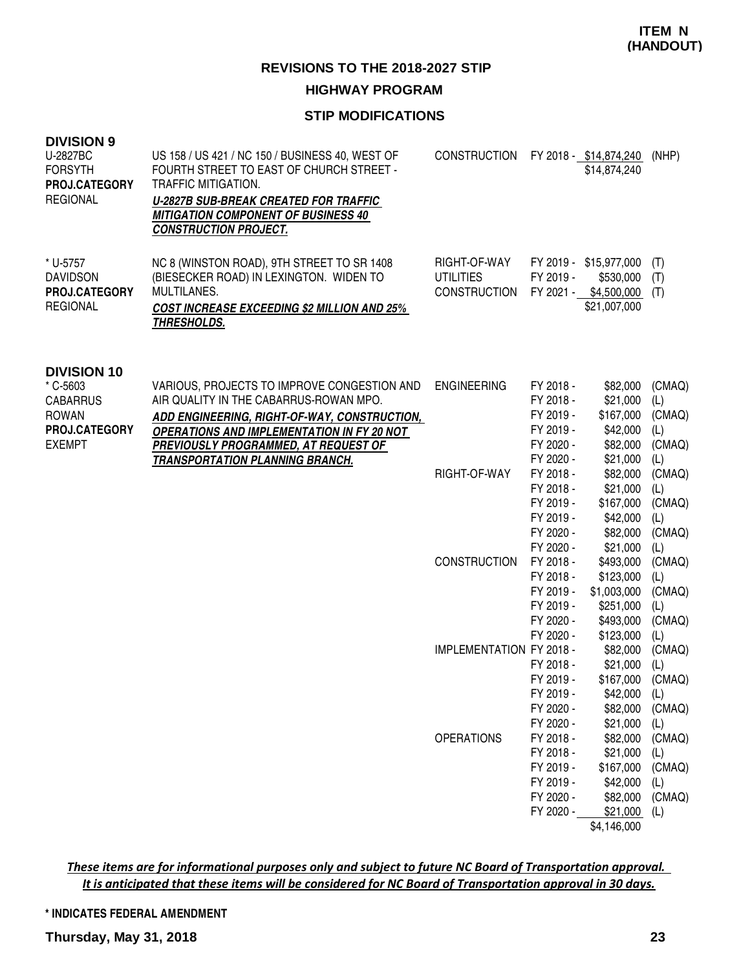#### **HIGHWAY PROGRAM**

# **STIP MODIFICATIONS**

| <b>DIVISION 9</b><br>U-2827BC<br><b>FORSYTH</b><br>PROJ.CATEGORY<br><b>REGIONAL</b>                 | US 158 / US 421 / NC 150 / BUSINESS 40, WEST OF<br>FOURTH STREET TO EAST OF CHURCH STREET -<br>TRAFFIC MITIGATION.<br><b>U-2827B SUB-BREAK CREATED FOR TRAFFIC</b><br><b>MITIGATION COMPONENT OF BUSINESS 40</b><br><b>CONSTRUCTION PROJECT.</b> | CONSTRUCTION FY 2018 - \$14,874,240                     |                                                                                         | \$14,874,240                                                                      | (NHP)                                                  |
|-----------------------------------------------------------------------------------------------------|--------------------------------------------------------------------------------------------------------------------------------------------------------------------------------------------------------------------------------------------------|---------------------------------------------------------|-----------------------------------------------------------------------------------------|-----------------------------------------------------------------------------------|--------------------------------------------------------|
| * U-5757<br><b>DAVIDSON</b><br>PROJ.CATEGORY<br><b>REGIONAL</b>                                     | NC 8 (WINSTON ROAD), 9TH STREET TO SR 1408<br>(BIESECKER ROAD) IN LEXINGTON. WIDEN TO<br>MULTILANES.<br><b>COST INCREASE EXCEEDING \$2 MILLION AND 25%</b><br>THRESHOLDS.                                                                        | RIGHT-OF-WAY<br><b>UTILITIES</b><br><b>CONSTRUCTION</b> | FY 2019 -                                                                               | FY 2019 - \$15,977,000<br>\$530,000<br>FY 2021 - \$4,500,000<br>\$21,007,000      | (T)<br>(T)<br>(T)                                      |
| <b>DIVISION 10</b><br>* C-5603<br><b>CABARRUS</b><br><b>ROWAN</b><br>PROJ.CATEGORY<br><b>EXEMPT</b> | VARIOUS, PROJECTS TO IMPROVE CONGESTION AND<br>AIR QUALITY IN THE CABARRUS-ROWAN MPO.<br>ADD ENGINEERING, RIGHT-OF-WAY, CONSTRUCTION,<br><b>OPERATIONS AND IMPLEMENTATION IN FY 20 NOT</b><br>PREVIOUSLY PROGRAMMED, AT REQUEST OF               | <b>ENGINEERING</b>                                      | FY 2018 -<br>FY 2018 -<br>FY 2019 -<br>FY 2019 -<br>FY 2020 -                           | \$82,000<br>\$21,000<br>\$167,000<br>\$42,000<br>\$82,000                         | (CMAQ)<br>(L)<br>(CMAQ)<br>(L)<br>(CMAQ)               |
|                                                                                                     | <b>TRANSPORTATION PLANNING BRANCH.</b>                                                                                                                                                                                                           | RIGHT-OF-WAY                                            | FY 2020 -<br>FY 2018 -<br>FY 2018 -<br>FY 2019 -<br>FY 2019 -<br>FY 2020 -<br>FY 2020 - | \$21,000<br>\$82,000<br>\$21,000<br>\$167,000<br>\$42,000<br>\$82,000<br>\$21,000 | (L)<br>(CMAQ)<br>(L)<br>(CMAQ)<br>(L)<br>(CMAQ)<br>(L) |
|                                                                                                     |                                                                                                                                                                                                                                                  | <b>CONSTRUCTION</b>                                     | FY 2018 -<br>FY 2018 -<br>FY 2019 -<br>FY 2019 -<br>FY 2020 -<br>FY 2020 -              | \$493,000<br>\$123,000<br>\$1,003,000<br>\$251,000<br>\$493,000<br>\$123,000      | (CMAQ)<br>(L)<br>(CMAQ)<br>(L)<br>(CMAQ)<br>(L)        |
|                                                                                                     |                                                                                                                                                                                                                                                  | <b>IMPLEMENTATION FY 2018 -</b>                         | FY 2018 -<br>FY 2019 -<br>FY 2019 -<br>FY 2020 -<br>FY 2020 -                           | \$82,000<br>\$21,000<br>\$167,000<br>\$42,000<br>\$82,000<br>\$21,000             | (CMAQ)<br>(L)<br>(CMAQ)<br>(L)<br>(CMAQ)<br>(L)        |
|                                                                                                     |                                                                                                                                                                                                                                                  | <b>OPERATIONS</b>                                       | FY 2018 -<br>FY 2018 -<br>FY 2019 -<br>FY 2019 -<br>FY 2020 -<br>FY 2020 -              | \$82,000<br>\$21,000<br>\$167,000<br>\$42,000<br>\$82,000<br>\$21,000             | (CMAQ)<br>(L)<br>(CMAQ)<br>(L)<br>(CMAQ)<br>(L)        |

\$4,146,000

These items are for informational purposes only and subject to future NC Board of Transportation approval. It is anticipated that these items will be considered for NC Board of Transportation approval in 30 days.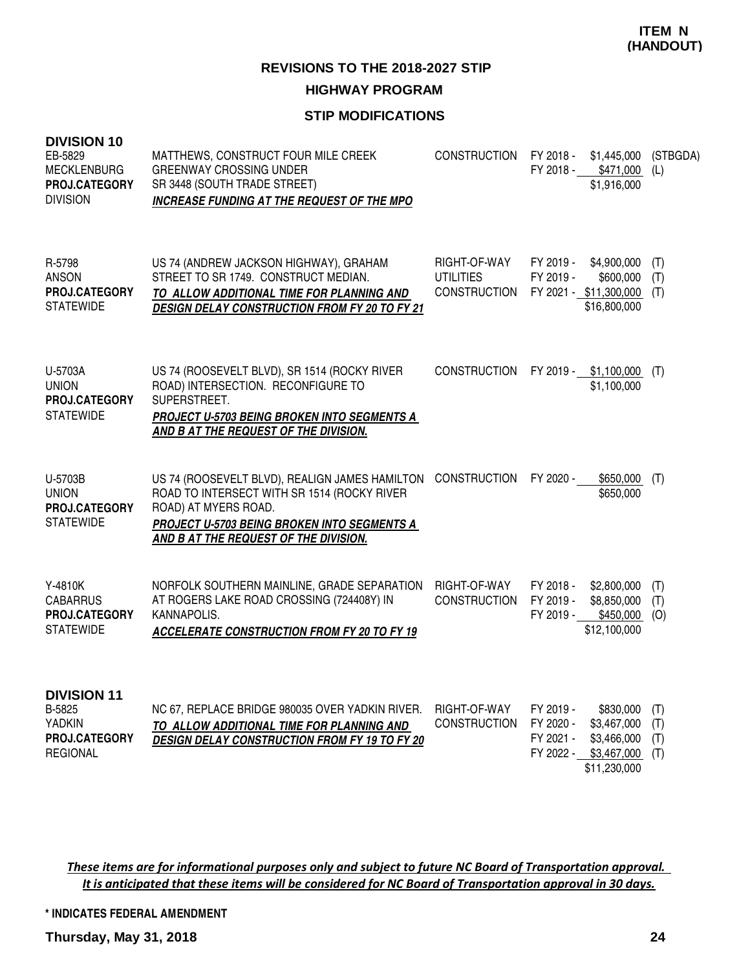**REVISIONS TO THE 2018-2027 STIP HIGHWAY PROGRAM**

# **STIP MODIFICATIONS**

| <b>DIVISION 10</b><br>EB-5829<br><b>MECKLENBURG</b><br>PROJ.CATEGORY<br><b>DIVISION</b> | MATTHEWS, CONSTRUCT FOUR MILE CREEK<br><b>GREENWAY CROSSING UNDER</b><br>SR 3448 (SOUTH TRADE STREET)<br>INCREASE FUNDING AT THE REQUEST OF THE MPO                                                           | <b>CONSTRUCTION</b>                              | FY 2018 -                           | \$1,445,000<br>FY 2018 - \$471,000 (L)<br>\$1,916,000                            | (STBGDA)                 |
|-----------------------------------------------------------------------------------------|---------------------------------------------------------------------------------------------------------------------------------------------------------------------------------------------------------------|--------------------------------------------------|-------------------------------------|----------------------------------------------------------------------------------|--------------------------|
| R-5798<br><b>ANSON</b><br>PROJ.CATEGORY<br><b>STATEWIDE</b>                             | US 74 (ANDREW JACKSON HIGHWAY), GRAHAM<br>STREET TO SR 1749. CONSTRUCT MEDIAN.<br>TO ALLOW ADDITIONAL TIME FOR PLANNING AND<br><b>DESIGN DELAY CONSTRUCTION FROM FY 20 TO FY 21</b>                           | RIGHT-OF-WAY<br><b>UTILITIES</b><br>CONSTRUCTION | FY 2019 -<br>FY 2019 -              | \$4,900,000<br>\$600,000<br>FY 2021 - \$11,300,000<br>\$16,800,000               | (T)<br>(T)<br>(T)        |
| U-5703A<br><b>UNION</b><br>PROJ.CATEGORY<br><b>STATEWIDE</b>                            | US 74 (ROOSEVELT BLVD), SR 1514 (ROCKY RIVER<br>ROAD) INTERSECTION. RECONFIGURE TO<br>SUPERSTREET.<br><b>PROJECT U-5703 BEING BROKEN INTO SEGMENTS A</b><br>AND B AT THE REQUEST OF THE DIVISION.             | <b>CONSTRUCTION</b>                              |                                     | FY 2019 - \$1,100,000<br>\$1,100,000                                             | (T)                      |
| U-5703B<br><b>UNION</b><br>PROJ.CATEGORY<br><b>STATEWIDE</b>                            | US 74 (ROOSEVELT BLVD), REALIGN JAMES HAMILTON<br>ROAD TO INTERSECT WITH SR 1514 (ROCKY RIVER<br>ROAD) AT MYERS ROAD.<br>PROJECT U-5703 BEING BROKEN INTO SEGMENTS A<br>AND B AT THE REQUEST OF THE DIVISION. | <b>CONSTRUCTION</b>                              | FY 2020 -                           | \$650,000<br>\$650,000                                                           | (T)                      |
| Y-4810K<br><b>CABARRUS</b><br>PROJ.CATEGORY<br><b>STATEWIDE</b>                         | NORFOLK SOUTHERN MAINLINE, GRADE SEPARATION<br>AT ROGERS LAKE ROAD CROSSING (724408Y) IN<br>KANNAPOLIS.<br><b>ACCELERATE CONSTRUCTION FROM FY 20 TO FY 19</b>                                                 | RIGHT-OF-WAY<br><b>CONSTRUCTION</b>              | FY 2018 -<br>FY 2019 -<br>FY 2019 - | \$2,800,000<br>\$8,850,000<br>\$450,000<br>\$12,100,000                          | (T)<br>(T)<br>(O)        |
| <b>DIVISION 11</b><br>B-5825<br><b>YADKIN</b><br>PROJ.CATEGORY<br><b>REGIONAL</b>       | NC 67, REPLACE BRIDGE 980035 OVER YADKIN RIVER.<br>TO ALLOW ADDITIONAL TIME FOR PLANNING AND<br><b>DESIGN DELAY CONSTRUCTION FROM FY 19 TO FY 20</b>                                                          | RIGHT-OF-WAY<br><b>CONSTRUCTION</b>              | FY 2019 -<br>FY 2020 -<br>FY 2021 - | \$830,000<br>\$3,467,000<br>\$3,466,000<br>FY 2022 - \$3,467,000<br>\$11,230,000 | (T)<br>(T)<br>(T)<br>(T) |

These items are for informational purposes only and subject to future NC Board of Transportation approval. It is anticipated that these items will be considered for NC Board of Transportation approval in 30 days.

**\* INDICATES FEDERAL AMENDMENT**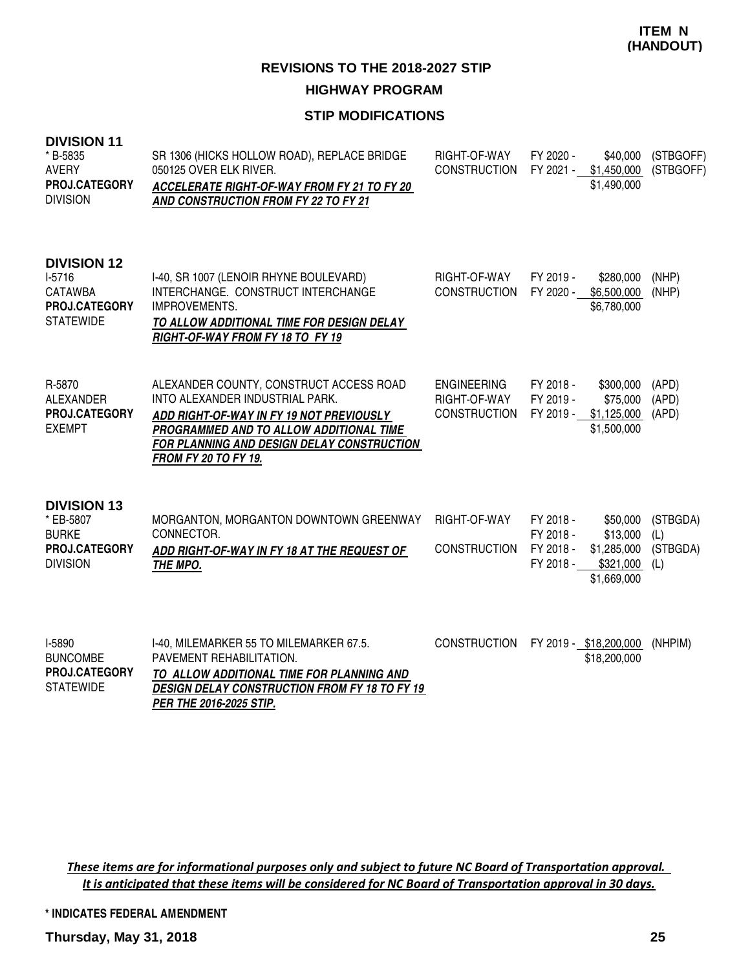## **STIP MODIFICATIONS**

| <b>DIVISION 11</b><br>* B-5835<br><b>AVERY</b><br>PROJ.CATEGORY<br><b>DIVISION</b>         | SR 1306 (HICKS HOLLOW ROAD), REPLACE BRIDGE<br>050125 OVER ELK RIVER.<br>ACCELERATE RIGHT-OF-WAY FROM FY 21 TO FY 20<br>AND CONSTRUCTION FROM FY 22 TO FY 21                                                                                   | RIGHT-OF-WAY<br><b>CONSTRUCTION</b>                       | FY 2020 -<br>\$40,000<br>FY 2021 -<br>\$1,450,000<br>\$1,490,000                                                    | (STBGOFF)<br>(STBGOFF)             |
|--------------------------------------------------------------------------------------------|------------------------------------------------------------------------------------------------------------------------------------------------------------------------------------------------------------------------------------------------|-----------------------------------------------------------|---------------------------------------------------------------------------------------------------------------------|------------------------------------|
| <b>DIVISION 12</b><br>$I-5716$<br><b>CATAWBA</b><br>PROJ.CATEGORY<br><b>STATEWIDE</b>      | I-40, SR 1007 (LENOIR RHYNE BOULEVARD)<br>INTERCHANGE. CONSTRUCT INTERCHANGE<br>IMPROVEMENTS.<br>TO ALLOW ADDITIONAL TIME FOR DESIGN DELAY<br>RIGHT-OF-WAY FROM FY 18 TO FY 19                                                                 | RIGHT-OF-WAY<br><b>CONSTRUCTION</b>                       | FY 2019 -<br>\$280,000<br>FY 2020 -<br>\$6,500,000<br>\$6,780,000                                                   | (NHP)<br>(NHP)                     |
| R-5870<br><b>ALEXANDER</b><br><b>PROJ.CATEGORY</b><br><b>EXEMPT</b>                        | ALEXANDER COUNTY, CONSTRUCT ACCESS ROAD<br>INTO ALEXANDER INDUSTRIAL PARK.<br>ADD RIGHT-OF-WAY IN FY 19 NOT PREVIOUSLY<br>PROGRAMMED AND TO ALLOW ADDITIONAL TIME<br>FOR PLANNING AND DESIGN DELAY CONSTRUCTION<br><b>FROM FY 20 TO FY 19.</b> | <b>ENGINEERING</b><br>RIGHT-OF-WAY<br><b>CONSTRUCTION</b> | FY 2018 -<br>\$300,000<br>FY 2019 -<br>\$75,000<br>\$1,125,000<br>FY 2019 -<br>\$1,500,000                          | (APD)<br>(APD)<br>(APD)            |
| <b>DIVISION 13</b><br>* EB-5807<br><b>BURKE</b><br><b>PROJ.CATEGORY</b><br><b>DIVISION</b> | MORGANTON, MORGANTON DOWNTOWN GREENWAY<br>CONNECTOR.<br>ADD RIGHT-OF-WAY IN FY 18 AT THE REQUEST OF<br>THE MPO.                                                                                                                                | RIGHT-OF-WAY<br><b>CONSTRUCTION</b>                       | FY 2018 -<br>\$50,000<br>\$13,000<br>FY 2018 -<br>FY 2018 -<br>\$1,285,000<br>\$321,000<br>FY 2018 -<br>\$1,669,000 | (STBGDA)<br>(L)<br>(STBGDA)<br>(L) |
| I-5890<br><b>BUNCOMBE</b><br>PROJ.CATEGORY<br><b>STATEWIDE</b>                             | I-40, MILEMARKER 55 TO MILEMARKER 67.5.<br>PAVEMENT REHABILITATION.<br>TO ALLOW ADDITIONAL TIME FOR PLANNING AND<br><b>DESIGN DELAY CONSTRUCTION FROM FY 18 TO FY 19</b><br>PER THE 2016-2025 STIP.                                            | <b>CONSTRUCTION</b>                                       | FY 2019 - \$18,200,000<br>\$18,200,000                                                                              | (NHPIM)                            |

These items are for informational purposes only and subject to future NC Board of Transportation approval. It is anticipated that these items will be considered for NC Board of Transportation approval in 30 days.

**\* INDICATES FEDERAL AMENDMENT**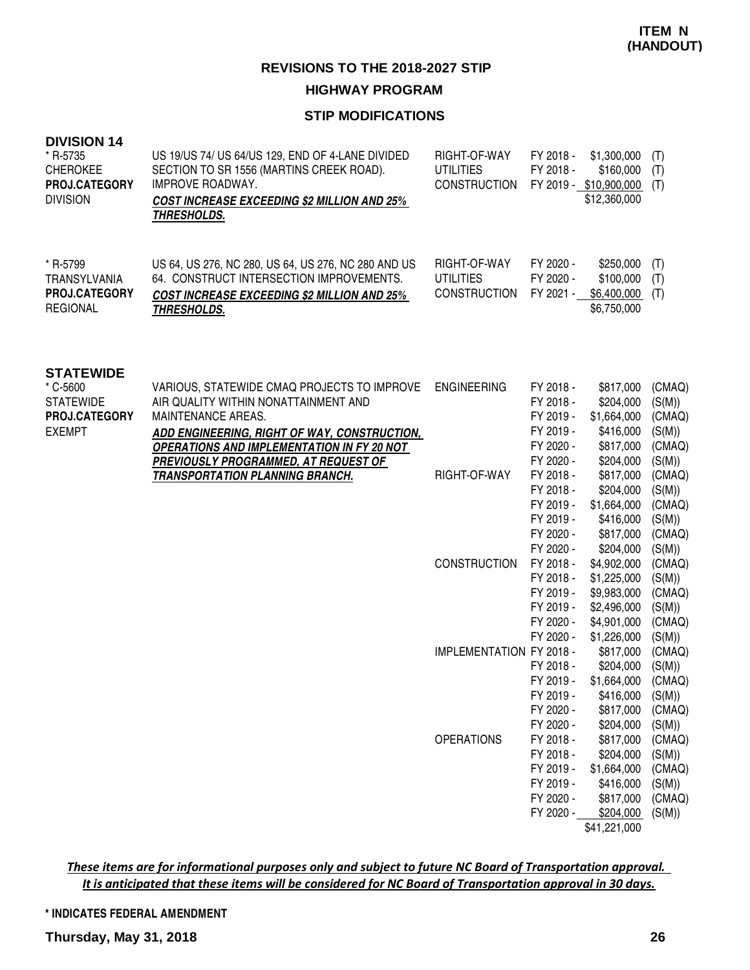# **HIGHWAY PROGRAM**

# **STIP MODIFICATIONS**

| <b>DIVISION 14</b><br>* R-5735<br><b>CHEROKEE</b><br>PROJ.CATEGORY<br><b>DIVISION</b> | US 19/US 74/ US 64/US 129, END OF 4-LANE DIVIDED<br>SECTION TO SR 1556 (MARTINS CREEK ROAD).<br>IMPROVE ROADWAY.<br><b>COST INCREASE EXCEEDING \$2 MILLION AND 25%</b><br><b>THRESHOLDS.</b>                          | RIGHT-OF-WAY<br><b>UTILITIES</b><br><b>CONSTRUCTION</b> | FY 2018 -<br>FY 2018 -                                                                  | \$1,300,000<br>\$160,000<br>FY 2019 - \$10,900,000<br>\$12,360,000                           | (T)<br>(T)<br>(T)                                                  |
|---------------------------------------------------------------------------------------|-----------------------------------------------------------------------------------------------------------------------------------------------------------------------------------------------------------------------|---------------------------------------------------------|-----------------------------------------------------------------------------------------|----------------------------------------------------------------------------------------------|--------------------------------------------------------------------|
| * R-5799<br><b>TRANSYLVANIA</b><br><b>PROJ.CATEGORY</b><br><b>REGIONAL</b>            | US 64, US 276, NC 280, US 64, US 276, NC 280 AND US<br>64. CONSTRUCT INTERSECTION IMPROVEMENTS.<br><b>COST INCREASE EXCEEDING \$2 MILLION AND 25%</b><br><b>THRESHOLDS.</b>                                           | RIGHT-OF-WAY<br><b>UTILITIES</b><br>CONSTRUCTION        | FY 2020 -<br>FY 2020 -<br>FY 2021 -                                                     | \$250,000<br>\$100,000<br>\$6,400,000<br>\$6,750,000                                         | (T)<br>(T)<br>(T)                                                  |
| <b>STATEWIDE</b><br>* C-5600<br><b>STATEWIDE</b><br>PROJ.CATEGORY<br><b>EXEMPT</b>    | VARIOUS, STATEWIDE CMAQ PROJECTS TO IMPROVE<br>AIR QUALITY WITHIN NONATTAINMENT AND<br><b>MAINTENANCE AREAS.</b><br>ADD ENGINEERING, RIGHT OF WAY, CONSTRUCTION,<br><b>OPERATIONS AND IMPLEMENTATION IN FY 20 NOT</b> | <b>ENGINEERING</b>                                      | FY 2018 -<br>FY 2018 -<br>FY 2019 -<br>FY 2019 -<br>FY 2020 -                           | \$817,000<br>\$204,000<br>\$1,664,000<br>\$416,000<br>\$817,000                              | (CMAQ)<br>(S(M))<br>(CMAQ)<br>(S(M))<br>(CMAQ)                     |
|                                                                                       | PREVIOUSLY PROGRAMMED, AT REQUEST OF<br><b>TRANSPORTATION PLANNING BRANCH.</b>                                                                                                                                        | RIGHT-OF-WAY                                            | FY 2020 -<br>FY 2018 -<br>FY 2018 -<br>FY 2019 -<br>FY 2019 -<br>FY 2020 -<br>FY 2020 - | \$204,000<br>\$817,000<br>\$204,000<br>\$1,664,000<br>\$416,000<br>\$817,000<br>\$204,000    | (S(M))<br>(CMAQ)<br>(S(M))<br>(CMAQ)<br>(S(M))<br>(CMAQ)<br>(S(M)) |
|                                                                                       |                                                                                                                                                                                                                       | <b>CONSTRUCTION</b>                                     | FY 2018 -<br>FY 2018 -<br>FY 2019 -<br>FY 2019 -<br>FY 2020 -<br>FY 2020 -              | \$4,902,000<br>\$1,225,000<br>\$9,983,000<br>\$2,496,000<br>\$4,901,000<br>\$1,226,000       | (CMAQ)<br>(S(M))<br>(CMAQ)<br>(S(M))<br>(CMAQ)<br>(S(M))           |
|                                                                                       |                                                                                                                                                                                                                       | <b>IMPLEMENTATION FY 2018 -</b>                         | FY 2018 -<br>FY 2019 -<br>FY 2019 -<br>FY 2020 -<br>FY 2020 -                           | \$817,000<br>\$204,000<br>\$1,664,000<br>\$416,000<br>\$817,000<br>\$204,000                 | (CMAQ)<br>(S(M))<br>(CMAQ)<br>(S(M))<br>(CMAQ)<br>(S(M))           |
|                                                                                       |                                                                                                                                                                                                                       | <b>OPERATIONS</b>                                       | FY 2018 -<br>FY 2018 -<br>FY 2019 -<br>FY 2019 -<br>FY 2020 -<br>FY 2020 -              | \$817,000<br>\$204,000<br>\$1,664,000<br>\$416,000<br>\$817,000<br>\$204,000<br>\$41,221,000 | (CMAQ)<br>(S(M))<br>(CMAQ)<br>(S(M))<br>(CMAQ)<br>(S(M))           |

These items are for informational purposes only and subject to future NC Board of Transportation approval. It is anticipated that these items will be considered for NC Board of Transportation approval in 30 days.